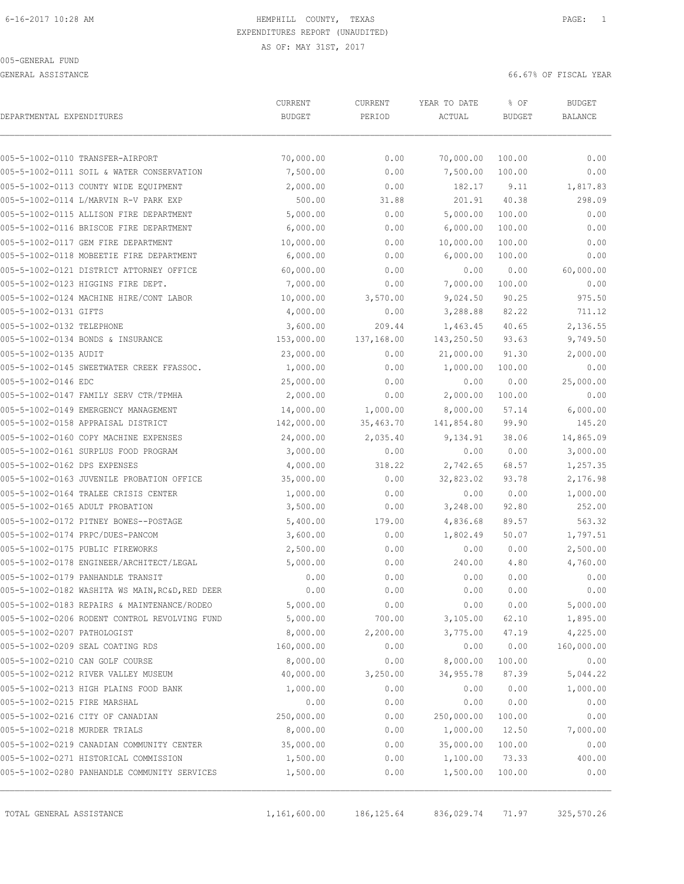GENERAL ASSISTANCE 66.67% OF FISCAL YEAR

| DEPARTMENTAL EXPENDITURES     |                                                 | CURRENT<br><b>BUDGET</b> | CURRENT<br>PERIOD | YEAR TO DATE<br>ACTUAL | % OF<br><b>BUDGET</b> | <b>BUDGET</b><br><b>BALANCE</b> |
|-------------------------------|-------------------------------------------------|--------------------------|-------------------|------------------------|-----------------------|---------------------------------|
|                               | 005-5-1002-0110 TRANSFER-AIRPORT                | 70,000.00                | 0.00              | 70,000.00              | 100.00                | 0.00                            |
|                               | 005-5-1002-0111 SOIL & WATER CONSERVATION       | 7,500.00                 | 0.00              | 7,500.00               | 100.00                | 0.00                            |
|                               | 005-5-1002-0113 COUNTY WIDE EQUIPMENT           | 2,000.00                 | 0.00              | 182.17                 | 9.11                  | 1,817.83                        |
|                               | 005-5-1002-0114 L/MARVIN R-V PARK EXP           | 500.00                   | 31.88             | 201.91                 | 40.38                 | 298.09                          |
|                               | 005-5-1002-0115 ALLISON FIRE DEPARTMENT         | 5,000.00                 | 0.00              | 5,000.00               | 100.00                | 0.00                            |
|                               | 005-5-1002-0116 BRISCOE FIRE DEPARTMENT         | 6,000.00                 | 0.00              | 6,000.00               | 100.00                | 0.00                            |
|                               | 005-5-1002-0117 GEM FIRE DEPARTMENT             | 10,000.00                | 0.00              | 10,000.00              | 100.00                | 0.00                            |
|                               | 005-5-1002-0118 MOBEETIE FIRE DEPARTMENT        | 6,000.00                 | 0.00              | 6,000.00               | 100.00                | 0.00                            |
|                               | 005-5-1002-0121 DISTRICT ATTORNEY OFFICE        | 60,000.00                | 0.00              | 0.00                   | 0.00                  | 60,000.00                       |
|                               | 005-5-1002-0123 HIGGINS FIRE DEPT.              | 7,000.00                 | 0.00              | 7,000.00               | 100.00                | 0.00                            |
|                               | 005-5-1002-0124 MACHINE HIRE/CONT LABOR         | 10,000.00                | 3,570.00          | 9,024.50               | 90.25                 | 975.50                          |
| 005-5-1002-0131 GIFTS         |                                                 | 4,000.00                 | 0.00              | 3,288.88               | 82.22                 | 711.12                          |
| 005-5-1002-0132 TELEPHONE     |                                                 | 3,600.00                 | 209.44            | 1,463.45               | 40.65                 | 2,136.55                        |
|                               | 005-5-1002-0134 BONDS & INSURANCE               | 153,000.00               | 137,168.00        | 143,250.50             | 93.63                 | 9,749.50                        |
| 005-5-1002-0135 AUDIT         |                                                 | 23,000.00                | 0.00              | 21,000.00              | 91.30                 | 2,000.00                        |
|                               | 005-5-1002-0145 SWEETWATER CREEK FFASSOC.       | 1,000.00                 | 0.00              | 1,000.00               | 100.00                | 0.00                            |
| 005-5-1002-0146 EDC           |                                                 | 25,000.00                | 0.00              | 0.00                   | 0.00                  | 25,000.00                       |
|                               | 005-5-1002-0147 FAMILY SERV CTR/TPMHA           | 2,000.00                 | 0.00              | 2,000.00               | 100.00                | 0.00                            |
|                               | 005-5-1002-0149 EMERGENCY MANAGEMENT            | 14,000.00                | 1,000.00          | 8,000.00               | 57.14                 | 6,000.00                        |
|                               | 005-5-1002-0158 APPRAISAL DISTRICT              | 142,000.00               | 35,463.70         | 141,854.80             | 99.90                 | 145.20                          |
|                               | 005-5-1002-0160 COPY MACHINE EXPENSES           | 24,000.00                | 2,035.40          | 9,134.91               | 38.06                 | 14,865.09                       |
|                               | 005-5-1002-0161 SURPLUS FOOD PROGRAM            | 3,000.00                 | 0.00              | 0.00                   | 0.00                  | 3,000.00                        |
| 005-5-1002-0162 DPS EXPENSES  |                                                 | 4,000.00                 | 318.22            | 2,742.65               | 68.57                 | 1,257.35                        |
|                               | 005-5-1002-0163 JUVENILE PROBATION OFFICE       | 35,000.00                | 0.00              | 32,823.02              | 93.78                 | 2,176.98                        |
|                               | 005-5-1002-0164 TRALEE CRISIS CENTER            | 1,000.00                 | 0.00              | 0.00                   | 0.00                  | 1,000.00                        |
|                               | 005-5-1002-0165 ADULT PROBATION                 | 3,500.00                 | 0.00              | 3,248.00               | 92.80                 | 252.00                          |
|                               | 005-5-1002-0172 PITNEY BOWES--POSTAGE           | 5,400.00                 | 179.00            | 4,836.68               | 89.57                 | 563.32                          |
|                               | 005-5-1002-0174 PRPC/DUES-PANCOM                | 3,600.00                 | 0.00              | 1,802.49               | 50.07                 | 1,797.51                        |
|                               | 005-5-1002-0175 PUBLIC FIREWORKS                | 2,500.00                 | 0.00              | 0.00                   | 0.00                  | 2,500.00                        |
|                               | 005-5-1002-0178 ENGINEER/ARCHITECT/LEGAL        | 5,000.00                 | 0.00              | 240.00                 | 4.80                  | 4,760.00                        |
|                               | 005-5-1002-0179 PANHANDLE TRANSIT               | 0.00                     | 0.00              | 0.00                   | 0.00                  | 0.00                            |
|                               | 005-5-1002-0182 WASHITA WS MAIN, RC&D, RED DEER | 0.00                     | 0.00              | 0.00                   | 0.00                  | 0.00                            |
|                               | 005-5-1002-0183 REPAIRS & MAINTENANCE/RODEO     | 5,000.00                 | 0.00              | 0.00                   | 0.00                  | 5,000.00                        |
|                               | 005-5-1002-0206 RODENT CONTROL REVOLVING FUND   | 5,000.00                 | 700.00            | 3,105.00               | 62.10                 | 1,895.00                        |
| 005-5-1002-0207 PATHOLOGIST   |                                                 | 8,000.00                 | 2,200.00          | 3,775.00               | 47.19                 | 4,225.00                        |
|                               | 005-5-1002-0209 SEAL COATING RDS                | 160,000.00               | 0.00              | 0.00                   | 0.00                  | 160,000.00                      |
|                               | 005-5-1002-0210 CAN GOLF COURSE                 | 8,000.00                 | 0.00              | 8,000.00               | 100.00                | 0.00                            |
|                               | 005-5-1002-0212 RIVER VALLEY MUSEUM             | 40,000.00                | 3,250.00          | 34,955.78              | 87.39                 | 5,044.22                        |
|                               | 005-5-1002-0213 HIGH PLAINS FOOD BANK           | 1,000.00                 | 0.00              | 0.00                   | 0.00                  | 1,000.00                        |
| 005-5-1002-0215 FIRE MARSHAL  |                                                 | 0.00                     | 0.00              | 0.00                   | 0.00                  | 0.00                            |
|                               | 005-5-1002-0216 CITY OF CANADIAN                | 250,000.00               | 0.00              | 250,000.00             | 100.00                | 0.00                            |
| 005-5-1002-0218 MURDER TRIALS |                                                 | 8,000.00                 | 0.00              | 1,000.00               | 12.50                 | 7,000.00                        |
|                               | 005-5-1002-0219 CANADIAN COMMUNITY CENTER       | 35,000.00                | 0.00              | 35,000.00              | 100.00                | 0.00                            |
|                               | 005-5-1002-0271 HISTORICAL COMMISSION           | 1,500.00                 | 0.00              | 1,100.00               | 73.33                 | 400.00                          |
|                               | 005-5-1002-0280 PANHANDLE COMMUNITY SERVICES    | 1,500.00                 | 0.00              | 1,500.00               | 100.00                | 0.00                            |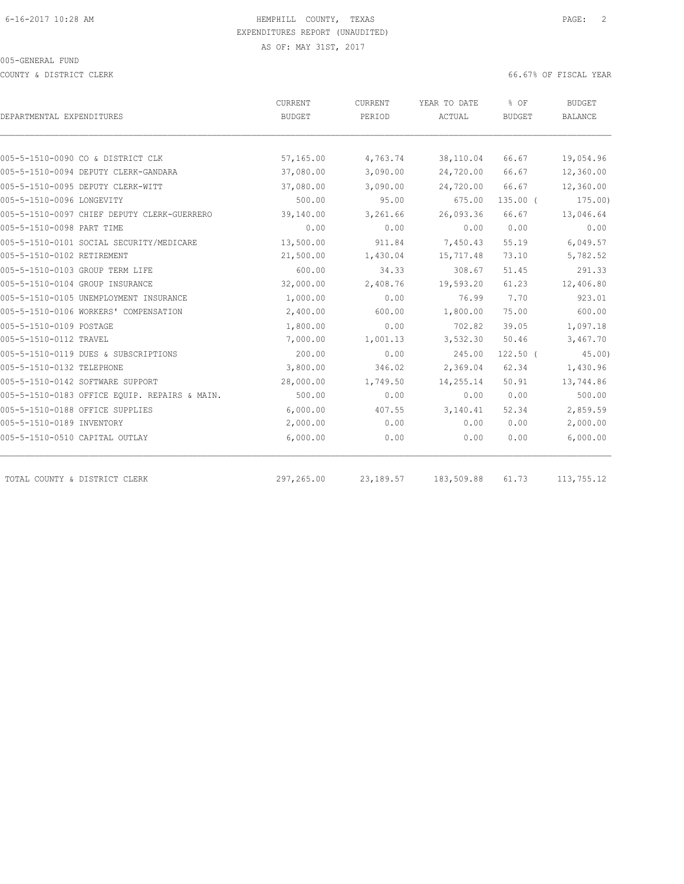COUNTY & DISTRICT CLERK 66.67% OF FISCAL YEAR

|                                               | CURRENT       | CURRENT   | YEAR TO DATE | % OF          | <b>BUDGET</b> |
|-----------------------------------------------|---------------|-----------|--------------|---------------|---------------|
| DEPARTMENTAL EXPENDITURES                     | <b>BUDGET</b> | PERIOD    | ACTUAL       | <b>BUDGET</b> | BALANCE       |
|                                               |               |           |              |               |               |
| 005-5-1510-0090 CO & DISTRICT CLK             | 57,165.00     | 4,763.74  | 38,110.04    | 66.67         | 19,054.96     |
| 005-5-1510-0094 DEPUTY CLERK-GANDARA          | 37,080.00     | 3,090.00  | 24,720.00    | 66.67         | 12,360.00     |
| 005-5-1510-0095 DEPUTY CLERK-WITT             | 37,080.00     | 3,090.00  | 24,720.00    | 66.67         | 12,360.00     |
| 005-5-1510-0096 LONGEVITY                     | 500.00        | 95.00     | 675.00       | $135.00$ (    | 175.00)       |
| 005-5-1510-0097 CHIEF DEPUTY CLERK-GUERRERO   | 39,140.00     | 3,261.66  | 26,093.36    | 66.67         | 13,046.64     |
| 005-5-1510-0098 PART TIME                     | 0.00          | 0.00      | 0.00         | 0.00          | 0.00          |
| 005-5-1510-0101 SOCIAL SECURITY/MEDICARE      | 13,500.00     | 911.84    | 7,450.43     | 55.19         | 6,049.57      |
| 005-5-1510-0102 RETIREMENT                    | 21,500.00     | 1,430.04  | 15,717.48    | 73.10         | 5,782.52      |
| 005-5-1510-0103 GROUP TERM LIFE               | 600.00        | 34.33     | 308.67       | 51.45         | 291.33        |
| 005-5-1510-0104 GROUP INSURANCE               | 32,000.00     | 2,408.76  | 19,593.20    | 61.23         | 12,406.80     |
| 005-5-1510-0105 UNEMPLOYMENT INSURANCE        | 1,000.00      | 0.00      | 76.99        | 7.70          | 923.01        |
| 005-5-1510-0106 WORKERS' COMPENSATION         | 2,400.00      | 600.00    | 1,800.00     | 75.00         | 600.00        |
| 005-5-1510-0109 POSTAGE                       | 1,800.00      | 0.00      | 702.82       | 39.05         | 1,097.18      |
| 005-5-1510-0112 TRAVEL                        | 7,000.00      | 1,001.13  | 3,532.30     | 50.46         | 3,467.70      |
| 005-5-1510-0119 DUES & SUBSCRIPTIONS          | 200.00        | 0.00      | 245.00       | $122.50$ (    | 45.00         |
| 005-5-1510-0132 TELEPHONE                     | 3,800.00      | 346.02    | 2,369.04     | 62.34         | 1,430.96      |
| 005-5-1510-0142 SOFTWARE SUPPORT              | 28,000.00     | 1,749.50  | 14,255.14    | 50.91         | 13,744.86     |
| 005-5-1510-0183 OFFICE EQUIP. REPAIRS & MAIN. | 500.00        | 0.00      | 0.00         | 0.00          | 500.00        |
| 005-5-1510-0188 OFFICE SUPPLIES               | 6,000.00      | 407.55    | 3,140.41     | 52.34         | 2,859.59      |
| 005-5-1510-0189 INVENTORY                     | 2,000.00      | 0.00      | 0.00         | 0.00          | 2,000.00      |
| 005-5-1510-0510 CAPITAL OUTLAY                | 6,000.00      | 0.00      | 0.00         | 0.00          | 6,000.00      |
| TOTAL COUNTY & DISTRICT CLERK                 | 297,265.00    | 23,189.57 | 183,509.88   | 61.73         | 113,755.12    |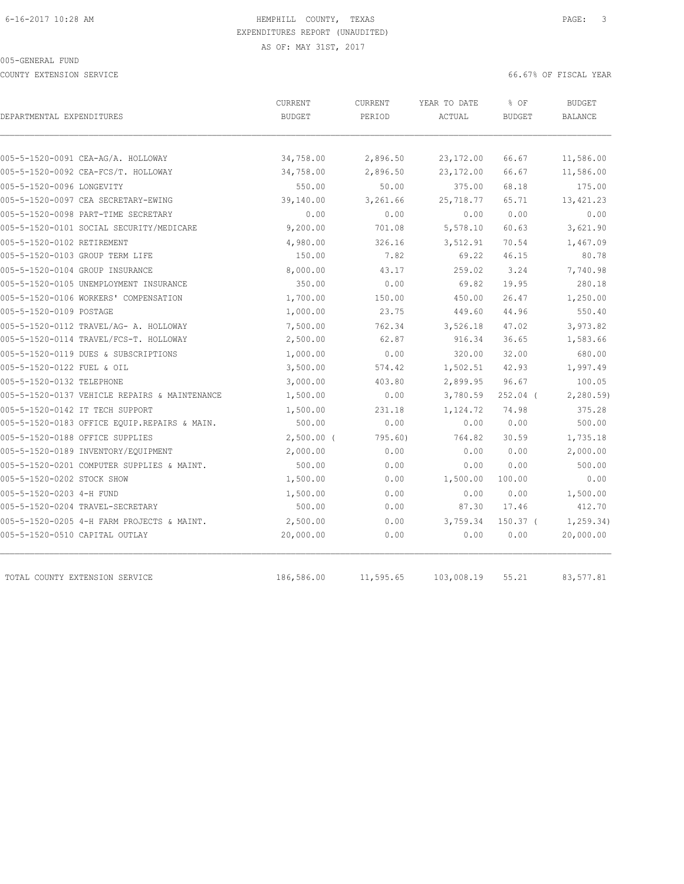COUNTY EXTENSION SERVICE 66.67% OF FISCAL YEAR

| DEPARTMENTAL EXPENDITURES                     | <b>CURRENT</b><br><b>BUDGET</b> | <b>CURRENT</b><br>PERIOD | YEAR TO DATE<br>ACTUAL | % OF<br><b>BUDGET</b> | <b>BUDGET</b><br>BALANCE |
|-----------------------------------------------|---------------------------------|--------------------------|------------------------|-----------------------|--------------------------|
|                                               |                                 |                          |                        |                       |                          |
| 005-5-1520-0091 CEA-AG/A. HOLLOWAY            | 34,758.00                       | 2,896.50                 | 23, 172.00             | 66.67                 | 11,586.00                |
| 005-5-1520-0092 CEA-FCS/T. HOLLOWAY           | 34,758.00                       | 2,896.50                 | 23, 172.00             | 66.67                 | 11,586.00                |
| 005-5-1520-0096 LONGEVITY                     | 550.00                          | 50.00                    | 375.00                 | 68.18<br>65.71        | 175.00                   |
| 005-5-1520-0097 CEA SECRETARY-EWING           | 39,140.00                       | 3,261.66                 | 25,718.77              |                       | 13, 421.23               |
| 005-5-1520-0098 PART-TIME SECRETARY           | 0.00                            | 0.00                     | 0.00                   | 0.00                  | 0.00                     |
| 005-5-1520-0101 SOCIAL SECURITY/MEDICARE      | 9,200.00                        | 701.08                   | 5,578.10               | 60.63                 | 3,621.90                 |
| 005-5-1520-0102 RETIREMENT                    | 4,980.00                        | 326.16                   | 3,512.91               | 70.54                 | 1,467.09                 |
| 005-5-1520-0103 GROUP TERM LIFE               | 150.00                          | 7.82                     | 69.22                  | 46.15                 | 80.78                    |
| 005-5-1520-0104 GROUP INSURANCE               | 8,000.00                        | 43.17                    | 259.02                 | 3.24                  | 7,740.98                 |
| 005-5-1520-0105 UNEMPLOYMENT INSURANCE        | 350.00                          | 0.00                     | 69.82                  | 19.95                 | 280.18                   |
| 005-5-1520-0106 WORKERS' COMPENSATION         | 1,700.00                        | 150.00                   | 450.00                 | 26.47                 | 1,250.00                 |
| 005-5-1520-0109 POSTAGE                       | 1,000.00                        | 23.75                    | 449.60                 | 44.96                 | 550.40                   |
| 005-5-1520-0112 TRAVEL/AG- A. HOLLOWAY        | 7,500.00                        | 762.34                   | 3,526.18               | 47.02                 | 3,973.82                 |
| 005-5-1520-0114 TRAVEL/FCS-T. HOLLOWAY        | 2,500.00                        | 62.87                    | 916.34                 | 36.65                 | 1,583.66                 |
| 005-5-1520-0119 DUES & SUBSCRIPTIONS          | 1,000.00                        | 0.00                     | 320.00                 | 32.00                 | 680.00                   |
| 005-5-1520-0122 FUEL & OIL                    | 3,500.00                        | 574.42                   | 1,502.51               | 42.93                 | 1,997.49                 |
| 005-5-1520-0132 TELEPHONE                     | 3,000.00                        | 403.80                   | 2,899.95               | 96.67                 | 100.05                   |
| 005-5-1520-0137 VEHICLE REPAIRS & MAINTENANCE | 1,500.00                        | 0.00                     | 3,780.59               | $252.04$ (            | 2, 280.59                |
| 005-5-1520-0142 IT TECH SUPPORT               | 1,500.00                        | 231.18                   | 1,124.72               | 74.98                 | 375.28                   |
| 005-5-1520-0183 OFFICE EQUIP.REPAIRS & MAIN.  | 500.00                          | 0.00                     | 0.00                   | 0.00                  | 500.00                   |
| 005-5-1520-0188 OFFICE SUPPLIES               | $2,500.00$ (                    | 795.60                   | 764.82                 | 30.59                 | 1,735.18                 |
| 005-5-1520-0189 INVENTORY/EQUIPMENT           | 2,000.00                        | 0.00                     | 0.00                   | 0.00                  | 2,000.00                 |
| 005-5-1520-0201 COMPUTER SUPPLIES & MAINT.    | 500.00                          | 0.00                     | 0.00                   | 0.00                  | 500.00                   |
| 005-5-1520-0202 STOCK SHOW                    | 1,500.00                        | 0.00                     | 1,500.00               | 100.00                | 0.00                     |
| 005-5-1520-0203 4-H FUND                      | 1,500.00                        | 0.00                     | 0.00                   | 0.00                  | 1,500.00                 |
| 005-5-1520-0204 TRAVEL-SECRETARY              | 500.00                          | 0.00                     | 87.30                  | 17.46                 | 412.70                   |
| 005-5-1520-0205 4-H FARM PROJECTS & MAINT.    | 2,500.00                        | 0.00                     | 3,759.34               | $150.37$ (            | 1, 259.34)               |
| 005-5-1520-0510 CAPITAL OUTLAY                | 20,000.00                       | 0.00                     | 0.00                   | 0.00                  | 20,000.00                |
| TOTAL COUNTY EXTENSION SERVICE                | 186,586.00                      | 11,595.65                | 103,008.19             | 55.21                 | 83,577.81                |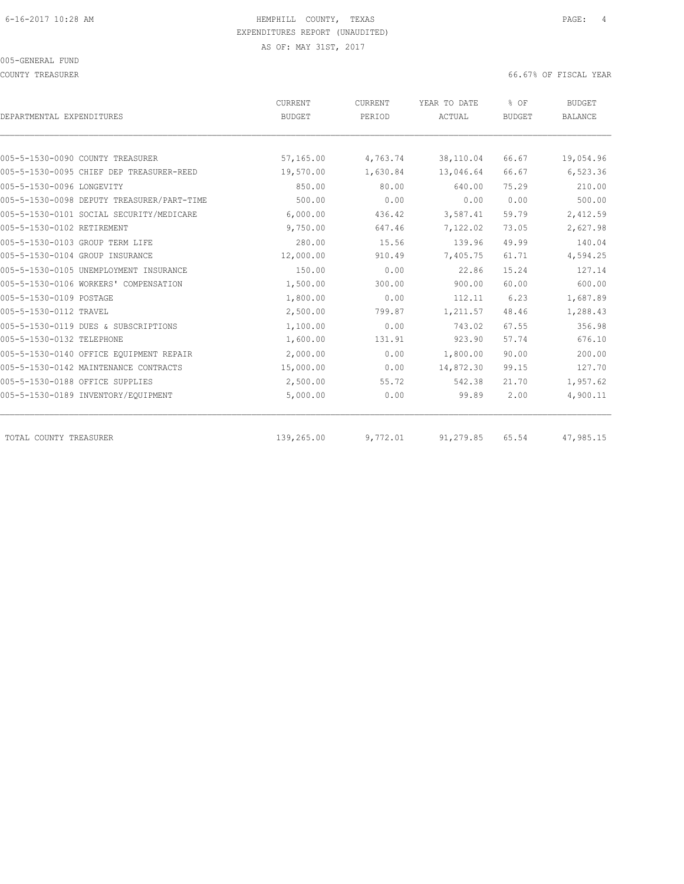COUNTY TREASURER 66.67% OF FISCAL YEAR

| DEPARTMENTAL EXPENDITURES                  | CURRENT<br><b>BUDGET</b> | CURRENT<br>PERIOD | YEAR TO DATE<br>ACTUAL | % OF<br><b>BUDGET</b> | <b>BUDGET</b><br><b>BALANCE</b> |
|--------------------------------------------|--------------------------|-------------------|------------------------|-----------------------|---------------------------------|
| 005-5-1530-0090 COUNTY TREASURER           | 57,165.00                | 4,763.74          | 38,110.04              | 66.67                 | 19,054.96                       |
| 005-5-1530-0095 CHIEF DEP TREASURER-REED   | 19,570.00                | 1,630.84          | 13,046.64              | 66.67                 | 6,523.36                        |
| 005-5-1530-0096 LONGEVITY                  | 850.00                   | 80.00             | 640.00                 | 75.29                 | 210.00                          |
| 005-5-1530-0098 DEPUTY TREASURER/PART-TIME | 500.00                   | 0.00              | 0.00                   | 0.00                  | 500.00                          |
| 005-5-1530-0101 SOCIAL SECURITY/MEDICARE   | 6,000.00                 | 436.42            | 3,587.41               | 59.79                 | 2,412.59                        |
| 005-5-1530-0102 RETIREMENT                 | 9,750.00                 | 647.46            | 7,122.02               | 73.05                 | 2,627.98                        |
| 005-5-1530-0103 GROUP TERM LIFE            | 280.00                   | 15.56             | 139.96                 | 49.99                 | 140.04                          |
| 005-5-1530-0104 GROUP INSURANCE            | 12,000.00                | 910.49            | 7,405.75               | 61.71                 | 4,594.25                        |
| 005-5-1530-0105 UNEMPLOYMENT INSURANCE     | 150.00                   | 0.00              | 22.86                  | 15.24                 | 127.14                          |
| 005-5-1530-0106 WORKERS' COMPENSATION      | 1,500.00                 | 300.00            | 900.00                 | 60.00                 | 600.00                          |
| 005-5-1530-0109 POSTAGE                    | 1,800.00                 | 0.00              | 112.11                 | 6.23                  | 1,687.89                        |
| 005-5-1530-0112 TRAVEL                     | 2,500.00                 | 799.87            | 1,211.57               | 48.46                 | 1,288.43                        |
| 005-5-1530-0119 DUES & SUBSCRIPTIONS       | 1,100.00                 | 0.00              | 743.02                 | 67.55                 | 356.98                          |
| 005-5-1530-0132 TELEPHONE                  | 1,600.00                 | 131.91            | 923.90                 | 57.74                 | 676.10                          |
| 005-5-1530-0140 OFFICE EQUIPMENT REPAIR    | 2,000.00                 | 0.00              | 1,800.00               | 90.00                 | 200.00                          |
| 005-5-1530-0142 MAINTENANCE CONTRACTS      | 15,000.00                | 0.00              | 14,872.30              | 99.15                 | 127.70                          |
| 005-5-1530-0188 OFFICE SUPPLIES            | 2,500.00                 | 55.72             | 542.38                 | 21.70                 | 1,957.62                        |
| 005-5-1530-0189 INVENTORY/EQUIPMENT        | 5,000.00                 | 0.00              | 99.89                  | 2.00                  | 4,900.11                        |
| TOTAL COUNTY TREASURER                     | 139,265.00               | 9,772.01          | 91,279.85              | 65.54                 | 47,985.15                       |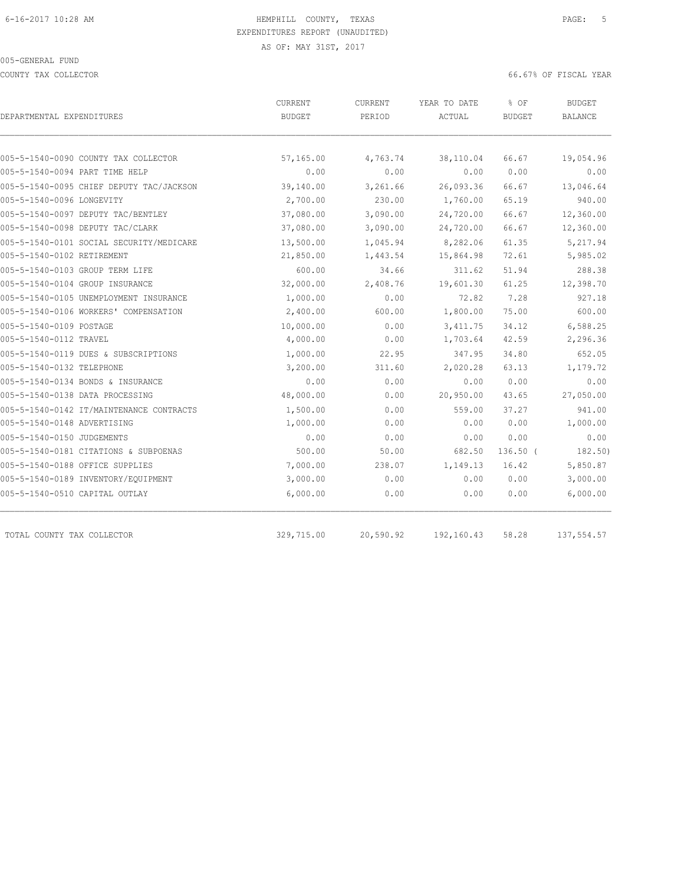COUNTY TAX COLLECTOR 66.67% OF FISCAL YEAR

| DEPARTMENTAL EXPENDITURES                | CURRENT<br><b>BUDGET</b> | <b>CURRENT</b><br>PERIOD | YEAR TO DATE<br>ACTUAL | % OF<br>BUDGET | <b>BUDGET</b><br>BALANCE |
|------------------------------------------|--------------------------|--------------------------|------------------------|----------------|--------------------------|
|                                          |                          |                          |                        |                |                          |
| 005-5-1540-0090 COUNTY TAX COLLECTOR     | 57,165.00                | 4,763.74                 | 38,110.04              | 66.67          | 19,054.96                |
| 005-5-1540-0094 PART TIME HELP           | 0.00                     | 0.00                     | 0.00                   | 0.00           | 0.00                     |
| 005-5-1540-0095 CHIEF DEPUTY TAC/JACKSON | 39,140.00                | 3,261.66                 | 26,093.36              | 66.67          | 13,046.64                |
| 005-5-1540-0096 LONGEVITY                | 2,700.00                 | 230.00                   | 1,760.00               | 65.19          | 940.00                   |
| 005-5-1540-0097 DEPUTY TAC/BENTLEY       | 37,080.00                | 3,090.00                 | 24,720.00              | 66.67          | 12,360.00                |
| 005-5-1540-0098 DEPUTY TAC/CLARK         | 37,080.00                | 3,090.00                 | 24,720.00              | 66.67          | 12,360.00                |
| 005-5-1540-0101 SOCIAL SECURITY/MEDICARE | 13,500.00                | 1,045.94                 | 8,282.06               | 61.35          | 5,217.94                 |
| 005-5-1540-0102 RETIREMENT               | 21,850.00                | 1,443.54                 | 15,864.98              | 72.61          | 5,985.02                 |
| 005-5-1540-0103 GROUP TERM LIFE          | 600.00                   | 34.66                    | 311.62                 | 51.94          | 288.38                   |
| 005-5-1540-0104 GROUP INSURANCE          | 32,000.00                | 2,408.76                 | 19,601.30              | 61.25          | 12,398.70                |
| 005-5-1540-0105 UNEMPLOYMENT INSURANCE   | 1,000.00                 | 0.00                     | 72.82                  | 7.28           | 927.18                   |
| 005-5-1540-0106 WORKERS' COMPENSATION    | 2,400.00                 | 600.00                   | 1,800.00               | 75.00          | 600.00                   |
| 005-5-1540-0109 POSTAGE                  | 10,000.00                | 0.00                     | 3, 411.75              | 34.12          | 6,588.25                 |
| 005-5-1540-0112 TRAVEL                   | 4,000.00                 | 0.00                     | 1,703.64               | 42.59          | 2,296.36                 |
| 005-5-1540-0119 DUES & SUBSCRIPTIONS     | 1,000.00                 | 22.95                    | 347.95                 | 34.80          | 652.05                   |
| 005-5-1540-0132 TELEPHONE                | 3,200.00                 | 311.60                   | 2,020.28               | 63.13          | 1,179.72                 |
| 005-5-1540-0134 BONDS & INSURANCE        | 0.00                     | 0.00                     | 0.00                   | 0.00           | 0.00                     |
| 005-5-1540-0138 DATA PROCESSING          | 48,000.00                | 0.00                     | 20,950.00              | 43.65          | 27,050.00                |
| 005-5-1540-0142 IT/MAINTENANCE CONTRACTS | 1,500.00                 | 0.00                     | 559.00                 | 37.27          | 941.00                   |
| 005-5-1540-0148 ADVERTISING              | 1,000.00                 | 0.00                     | 0.00                   | 0.00           | 1,000.00                 |
| 005-5-1540-0150 JUDGEMENTS               | 0.00                     | 0.00                     | 0.00                   | 0.00           | 0.00                     |
| 005-5-1540-0181 CITATIONS & SUBPOENAS    | 500.00                   | 50.00                    | 682.50                 | $136.50$ (     | 182.50                   |
| 005-5-1540-0188 OFFICE SUPPLIES          | 7,000.00                 | 238.07                   | 1,149.13               | 16.42          | 5,850.87                 |
| 005-5-1540-0189 INVENTORY/EQUIPMENT      | 3,000.00                 | 0.00                     | 0.00                   | 0.00           | 3,000.00                 |
| 005-5-1540-0510 CAPITAL OUTLAY           | 6,000.00                 | 0.00                     | 0.00                   | 0.00           | 6,000.00                 |
| TOTAL COUNTY TAX COLLECTOR               | 329,715.00               | 20,590.92                | 192,160.43             | 58.28          | 137,554.57               |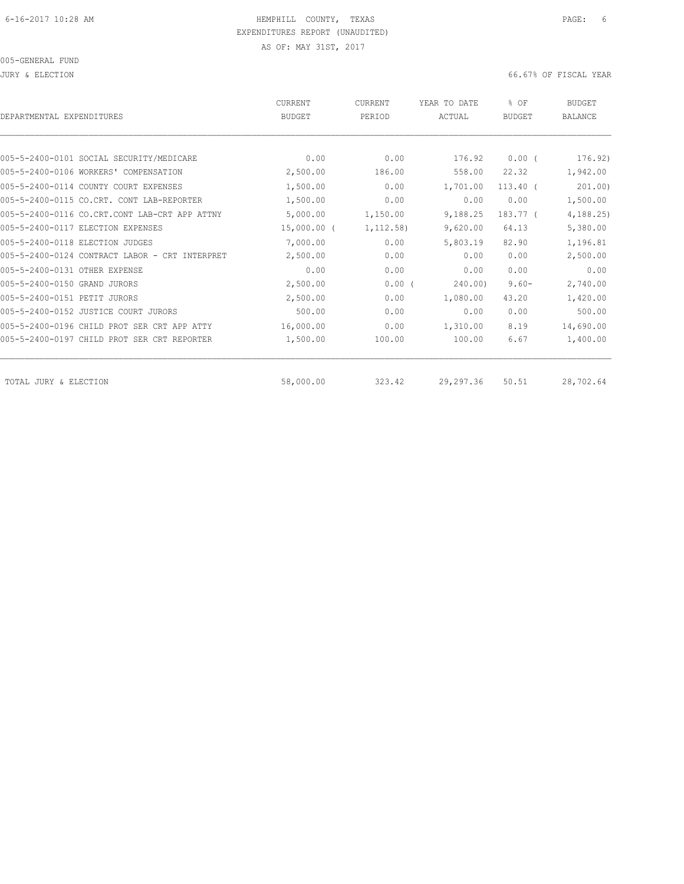JURY & ELECTION 66.67% OF FISCAL YEAR

| DEPARTMENTAL EXPENDITURES                      | <b>CURRENT</b><br><b>BUDGET</b> | <b>CURRENT</b><br>PERIOD | YEAR TO DATE<br>ACTUAL | % OF<br><b>BUDGET</b> | <b>BUDGET</b><br><b>BALANCE</b> |
|------------------------------------------------|---------------------------------|--------------------------|------------------------|-----------------------|---------------------------------|
|                                                |                                 |                          |                        |                       |                                 |
| 005-5-2400-0101 SOCIAL SECURITY/MEDICARE       | 0.00                            | 0.00                     | 176.92                 | $0.00$ (              | 176.92)                         |
| 005-5-2400-0106 WORKERS' COMPENSATION          | 2,500.00                        | 186.00                   | 558.00                 | 22.32                 | 1,942.00                        |
| 005-5-2400-0114 COUNTY COURT EXPENSES          | 1,500.00                        | 0.00                     | 1,701.00               | $113.40$ (            | 201.00                          |
| 005-5-2400-0115 CO.CRT. CONT LAB-REPORTER      | 1,500.00                        | 0.00                     | 0.00                   | 0.00                  | 1,500.00                        |
| 005-5-2400-0116 CO.CRT.CONT LAB-CRT APP ATTNY  | 5,000.00                        | 1,150.00                 | 9,188.25               | 183.77 (              | 4, 188.25                       |
| 005-5-2400-0117 ELECTION EXPENSES              | $15,000.00$ (                   | 1, 112.58)               | 9,620.00               | 64.13                 | 5,380.00                        |
| 005-5-2400-0118 ELECTION JUDGES                | 7,000.00                        | 0.00                     | 5,803.19               | 82.90                 | 1,196.81                        |
| 005-5-2400-0124 CONTRACT LABOR - CRT INTERPRET | 2,500.00                        | 0.00                     | 0.00                   | 0.00                  | 2,500.00                        |
| 005-5-2400-0131 OTHER EXPENSE                  | 0.00                            | 0.00                     | 0.00                   | 0.00                  | 0.00                            |
| 005-5-2400-0150 GRAND JURORS                   | 2,500.00                        | 0.00(                    | 240.00)                | $9.60 -$              | 2,740.00                        |
| 005-5-2400-0151 PETIT JURORS                   | 2,500.00                        | 0.00                     | 1,080.00               | 43.20                 | 1,420.00                        |
| 005-5-2400-0152 JUSTICE COURT JURORS           | 500.00                          | 0.00                     | 0.00                   | 0.00                  | 500.00                          |
| 005-5-2400-0196 CHILD PROT SER CRT APP ATTY    | 16,000.00                       | 0.00                     | 1,310.00               | 8.19                  | 14,690.00                       |
| 005-5-2400-0197 CHILD PROT SER CRT REPORTER    | 1,500.00                        | 100.00                   | 100.00                 | 6.67                  | 1,400.00                        |
| TOTAL JURY & ELECTION                          | 58,000.00                       | 323.42                   | 29, 297.36             | 50.51                 | 28,702.64                       |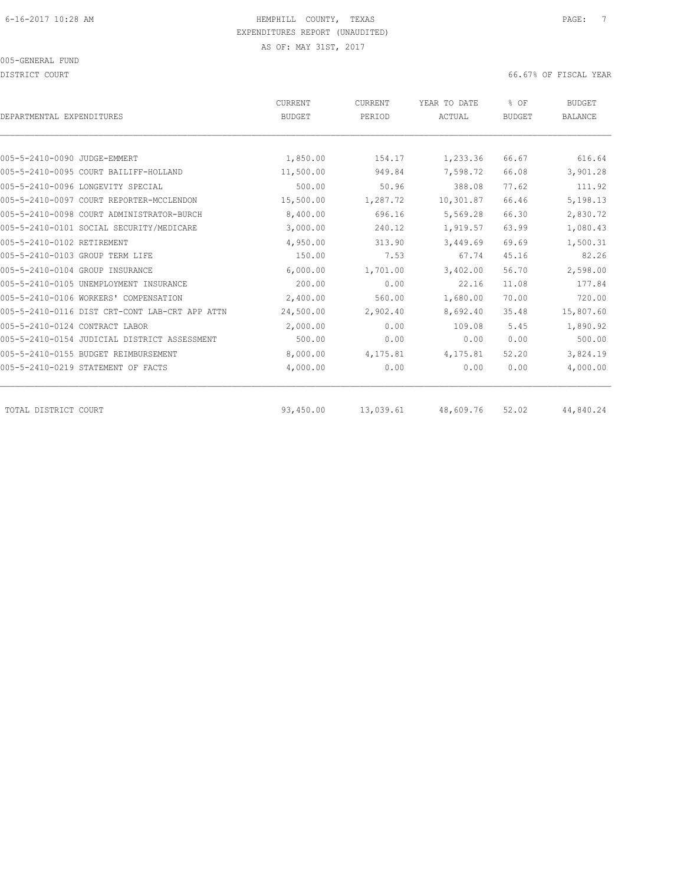DISTRICT COURT COURT COURT COURT COURT COURT COURT COURT COURT COURT COURT COURT COURT COURT COURT COURT COURT

| DEPARTMENTAL EXPENDITURES                      | <b>CURRENT</b><br><b>BUDGET</b> | CURRENT<br>PERIOD | YEAR TO DATE<br>ACTUAL | % OF<br><b>BUDGET</b> | <b>BUDGET</b><br><b>BALANCE</b> |
|------------------------------------------------|---------------------------------|-------------------|------------------------|-----------------------|---------------------------------|
|                                                |                                 |                   |                        |                       |                                 |
| 005-5-2410-0090 JUDGE-EMMERT                   | 1,850.00                        | 154.17            | 1,233.36               | 66.67                 | 616.64                          |
| 005-5-2410-0095 COURT BAILIFF-HOLLAND          | 11,500.00                       | 949.84            | 7,598.72               | 66.08                 | 3,901.28                        |
| 005-5-2410-0096 LONGEVITY SPECIAL              | 500.00                          | 50.96             | 388.08                 | 77.62                 | 111.92                          |
| 005-5-2410-0097 COURT REPORTER-MCCLENDON       | 15,500.00                       | 1,287.72          | 10,301.87              | 66.46                 | 5,198.13                        |
| 005-5-2410-0098 COURT ADMINISTRATOR-BURCH      | 8,400.00                        | 696.16            | 5,569.28               | 66.30                 | 2,830.72                        |
| 005-5-2410-0101 SOCIAL SECURITY/MEDICARE       | 3,000.00                        | 240.12            | 1,919.57               | 63.99                 | 1,080.43                        |
| 005-5-2410-0102 RETIREMENT                     | 4,950.00                        | 313.90            | 3,449.69               | 69.69                 | 1,500.31                        |
| 005-5-2410-0103 GROUP TERM LIFE                | 150.00                          | 7.53              | 67.74                  | 45.16                 | 82.26                           |
| 005-5-2410-0104 GROUP INSURANCE                | 6,000.00                        | 1,701.00          | 3,402.00               | 56.70                 | 2,598.00                        |
| 005-5-2410-0105 UNEMPLOYMENT INSURANCE         | 200.00                          | 0.00              | 22.16                  | 11.08                 | 177.84                          |
| 005-5-2410-0106 WORKERS' COMPENSATION          | 2,400.00                        | 560.00            | 1,680.00               | 70.00                 | 720.00                          |
| 005-5-2410-0116 DIST CRT-CONT LAB-CRT APP ATTN | 24,500.00                       | 2,902.40          | 8,692.40               | 35.48                 | 15,807.60                       |
| 005-5-2410-0124 CONTRACT LABOR                 | 2,000.00                        | 0.00              | 109.08                 | 5.45                  | 1,890.92                        |
| 005-5-2410-0154 JUDICIAL DISTRICT ASSESSMENT   | 500.00                          | 0.00              | 0.00                   | 0.00                  | 500.00                          |
| 005-5-2410-0155 BUDGET REIMBURSEMENT           | 8,000.00                        | 4,175.81          | 4,175.81               | 52.20                 | 3,824.19                        |
| 005-5-2410-0219 STATEMENT OF FACTS             | 4,000.00                        | 0.00              | 0.00                   | 0.00                  | 4,000.00                        |
| TOTAL DISTRICT COURT                           | 93,450.00                       | 13,039.61         | 48,609.76              | 52.02                 | 44,840.24                       |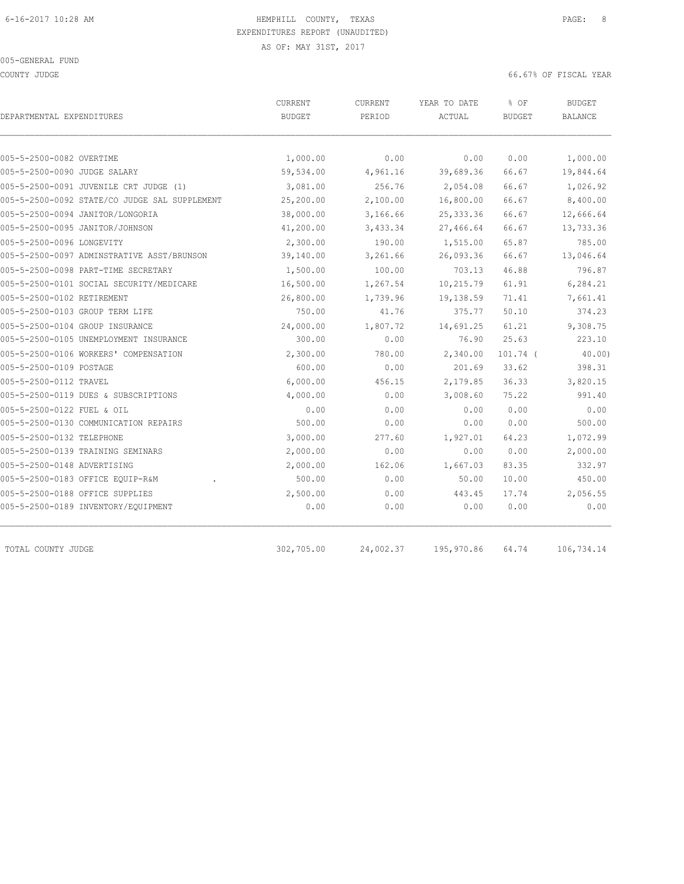COUNTY JUDGE 66.67% OF FISCAL YEAR

| DEPARTMENTAL EXPENDITURES                     | CURRENT<br><b>BUDGET</b> | CURRENT<br>PERIOD | YEAR TO DATE<br>ACTUAL | % OF<br><b>BUDGET</b> | <b>BUDGET</b><br><b>BALANCE</b> |
|-----------------------------------------------|--------------------------|-------------------|------------------------|-----------------------|---------------------------------|
|                                               |                          |                   |                        |                       |                                 |
| 005-5-2500-0082 OVERTIME                      | 1,000.00                 | 0.00              | 0.00                   | 0.00                  | 1,000.00                        |
| 005-5-2500-0090 JUDGE SALARY                  | 59,534.00                | 4,961.16          | 39,689.36              | 66.67                 | 19,844.64                       |
| 005-5-2500-0091 JUVENILE CRT JUDGE (1)        | 3,081.00                 | 256.76            | 2,054.08               | 66.67                 | 1,026.92                        |
| 005-5-2500-0092 STATE/CO JUDGE SAL SUPPLEMENT | 25,200.00                | 2,100.00          | 16,800.00              | 66.67                 | 8,400.00                        |
| 005-5-2500-0094 JANITOR/LONGORIA              | 38,000.00                | 3,166.66          | 25, 333.36             | 66.67                 | 12,666.64                       |
| 005-5-2500-0095 JANITOR/JOHNSON               | 41,200.00                | 3,433.34          | 27,466.64              | 66.67                 | 13,733.36                       |
| 005-5-2500-0096 LONGEVITY                     | 2,300.00                 | 190.00            | 1,515.00               | 65.87                 | 785.00                          |
| 005-5-2500-0097 ADMINSTRATIVE ASST/BRUNSON    | 39,140.00                | 3,261.66          | 26,093.36              | 66.67                 | 13,046.64                       |
| 005-5-2500-0098 PART-TIME SECRETARY           | 1,500.00                 | 100.00            | 703.13                 | 46.88                 | 796.87                          |
| 005-5-2500-0101 SOCIAL SECURITY/MEDICARE      | 16,500.00                | 1,267.54          | 10,215.79              | 61.91                 | 6,284.21                        |
| 005-5-2500-0102 RETIREMENT                    | 26,800.00                | 1,739.96          | 19,138.59              | 71.41                 | 7,661.41                        |
| 005-5-2500-0103 GROUP TERM LIFE               | 750.00                   | 41.76             | 375.77                 | 50.10                 | 374.23                          |
| 005-5-2500-0104 GROUP INSURANCE               | 24,000.00                | 1,807.72          | 14,691.25              | 61.21                 | 9,308.75                        |
| 005-5-2500-0105 UNEMPLOYMENT INSURANCE        | 300.00                   | 0.00              | 76.90                  | 25.63                 | 223.10                          |
| 005-5-2500-0106 WORKERS' COMPENSATION         | 2,300.00                 | 780.00            | 2,340.00               | $101.74$ (            | 40.00)                          |
| 005-5-2500-0109 POSTAGE                       | 600.00                   | 0.00              | 201.69                 | 33.62                 | 398.31                          |
| 005-5-2500-0112 TRAVEL                        | 6,000.00                 | 456.15            | 2,179.85               | 36.33                 | 3,820.15                        |
| 005-5-2500-0119 DUES & SUBSCRIPTIONS          | 4,000.00                 | 0.00              | 3,008.60               | 75.22                 | 991.40                          |
| 005-5-2500-0122 FUEL & OIL                    | 0.00                     | 0.00              | 0.00                   | 0.00                  | 0.00                            |
| 005-5-2500-0130 COMMUNICATION REPAIRS         | 500.00                   | 0.00              | 0.00                   | 0.00                  | 500.00                          |
| 005-5-2500-0132 TELEPHONE                     | 3,000.00                 | 277.60            | 1,927.01               | 64.23                 | 1,072.99                        |
| 005-5-2500-0139 TRAINING SEMINARS             | 2,000.00                 | 0.00              | 0.00                   | 0.00                  | 2,000.00                        |
| 005-5-2500-0148 ADVERTISING                   | 2,000.00                 | 162.06            | 1,667.03               | 83.35                 | 332.97                          |
| 005-5-2500-0183 OFFICE EOUIP-R&M              | 500.00                   | 0.00              | 50.00                  | 10.00                 | 450.00                          |
| 005-5-2500-0188 OFFICE SUPPLIES               | 2,500.00                 | 0.00              | 443.45                 | 17.74                 | 2,056.55                        |
| 005-5-2500-0189 INVENTORY/EQUIPMENT           | 0.00                     | 0.00              | 0.00                   | 0.00                  | 0.00                            |

TOTAL COUNTY JUDGE 302,705.00 24,002.37 195,970.86 64.74 106,734.14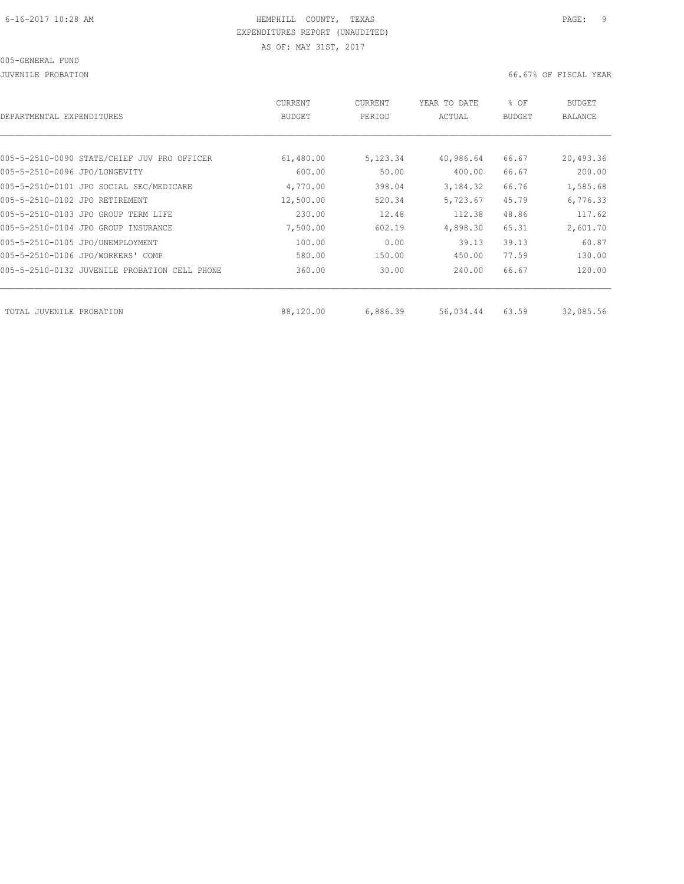JUVENILE PROBATION 66.67% OF FISCAL YEAR

| DEPARTMENTAL EXPENDITURES                     | CURRENT<br><b>BUDGET</b> | CURRENT<br>PERIOD | YEAR TO DATE<br>ACTUAL | % OF<br><b>BUDGET</b> | <b>BUDGET</b><br>BALANCE |
|-----------------------------------------------|--------------------------|-------------------|------------------------|-----------------------|--------------------------|
|                                               |                          |                   |                        |                       |                          |
| 005-5-2510-0090 STATE/CHIEF JUV PRO OFFICER   | 61,480.00                | 5,123.34          | 40,986.64              | 66.67                 | 20,493.36                |
| 005-5-2510-0096 JPO/LONGEVITY                 | 600.00                   | 50.00             | 400.00                 | 66.67                 | 200.00                   |
| 005-5-2510-0101 JPO SOCIAL SEC/MEDICARE       | 4,770.00                 | 398.04            | 3,184.32               | 66.76                 | 1,585.68                 |
| 005-5-2510-0102 JPO RETIREMENT                | 12,500.00                | 520.34            | 5,723.67               | 45.79                 | 6,776.33                 |
| 005-5-2510-0103 JPO GROUP TERM LIFE           | 230.00                   | 12.48             | 112.38                 | 48.86                 | 117.62                   |
| 005-5-2510-0104 JPO GROUP INSURANCE           | 7,500.00                 | 602.19            | 4,898.30               | 65.31                 | 2,601.70                 |
| 005-5-2510-0105 JPO/UNEMPLOYMENT              | 100.00                   | 0.00              | 39.13                  | 39.13                 | 60.87                    |
| 005-5-2510-0106 JPO/WORKERS' COMP             | 580.00                   | 150.00            | 450.00                 | 77.59                 | 130.00                   |
| 005-5-2510-0132 JUVENILE PROBATION CELL PHONE | 360.00                   | 30.00             | 240.00                 | 66.67                 | 120.00                   |
| TOTAL JUVENILE PROBATION                      | 88,120.00                | 6,886.39          | 56,034.44              | 63.59                 | 32,085.56                |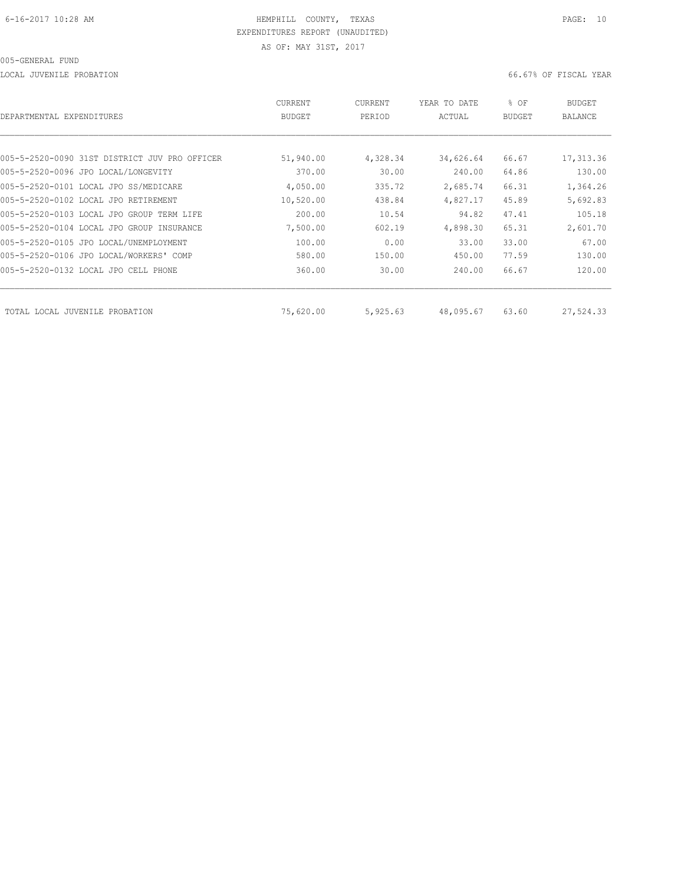LOCAL JUVENILE PROBATION 66.67% OF FISCAL YEAR

| DEPARTMENTAL EXPENDITURES                     | CURRENT<br><b>BUDGET</b> | CURRENT<br>PERIOD | YEAR TO DATE<br>ACTUAL | % OF<br>BUDGET | BUDGET<br>BALANCE |
|-----------------------------------------------|--------------------------|-------------------|------------------------|----------------|-------------------|
|                                               |                          |                   |                        |                |                   |
| 005-5-2520-0090 31ST DISTRICT JUV PRO OFFICER | 51,940.00                | 4,328.34          | 34,626.64              | 66.67          | 17,313.36         |
| 005-5-2520-0096 JPO LOCAL/LONGEVITY           | 370.00                   | 30.00             | 240.00                 | 64.86          | 130.00            |
| 005-5-2520-0101 LOCAL JPO SS/MEDICARE         | 4,050.00                 | 335.72            | 2,685.74               | 66.31          | 1,364.26          |
| 005-5-2520-0102 LOCAL JPO RETIREMENT          | 10,520.00                | 438.84            | 4,827.17               | 45.89          | 5,692.83          |
| 005-5-2520-0103 LOCAL JPO GROUP TERM LIFE     | 200.00                   | 10.54             | 94.82                  | 47.41          | 105.18            |
| 005-5-2520-0104 LOCAL JPO GROUP INSURANCE     | 7,500.00                 | 602.19            | 4,898.30               | 65.31          | 2,601.70          |
| 005-5-2520-0105 JPO LOCAL/UNEMPLOYMENT        | 100.00                   | 0.00              | 33.00                  | 33.00          | 67.00             |
| 005-5-2520-0106 JPO LOCAL/WORKERS' COMP       | 580.00                   | 150.00            | 450.00                 | 77.59          | 130.00            |
| 005-5-2520-0132 LOCAL JPO CELL PHONE          | 360.00                   | 30.00             | 240.00                 | 66.67          | 120.00            |
| TOTAL LOCAL JUVENILE PROBATION                | 75,620.00                | 5,925.63          | 48,095.67              | 63.60          | 27,524.33         |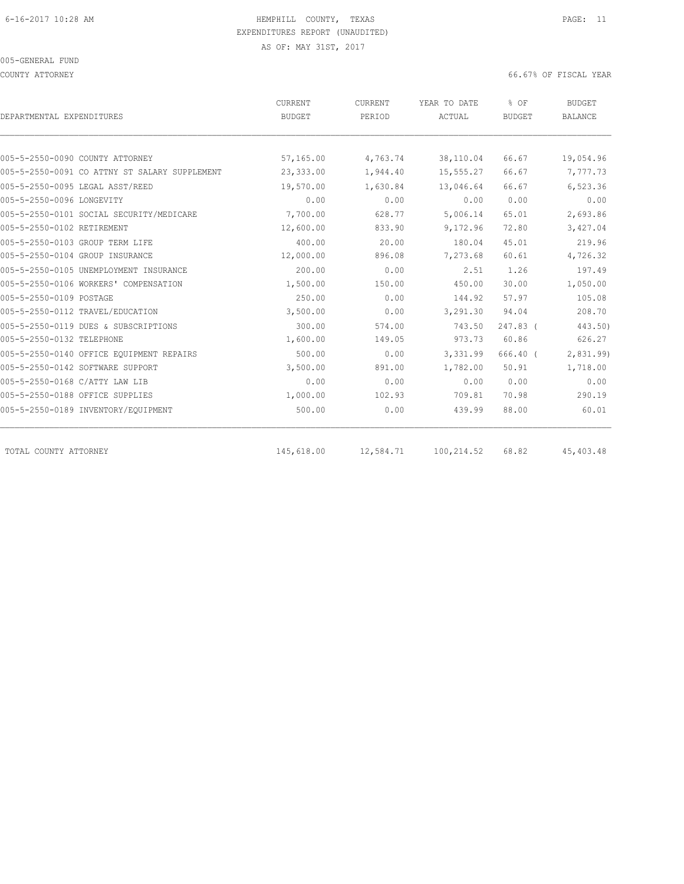### 005-GENERAL FUND

COUNTY ATTORNEY 66.67% OF FISCAL YEAR

| DEPARTMENTAL EXPENDITURES                     | CURRENT<br><b>BUDGET</b> | CURRENT<br>PERIOD | YEAR TO DATE<br>ACTUAL | % OF<br><b>BUDGET</b> | <b>BUDGET</b><br><b>BALANCE</b> |
|-----------------------------------------------|--------------------------|-------------------|------------------------|-----------------------|---------------------------------|
|                                               |                          |                   |                        |                       |                                 |
| 005-5-2550-0090 COUNTY ATTORNEY               | 57,165.00                | 4,763.74          | 38,110.04              | 66.67                 | 19,054.96                       |
| 005-5-2550-0091 CO ATTNY ST SALARY SUPPLEMENT | 23,333.00                | 1,944.40          | 15,555.27              | 66.67                 | 7,777.73                        |
| 005-5-2550-0095 LEGAL ASST/REED               | 19,570.00                | 1,630.84          | 13,046.64              | 66.67                 | 6,523.36                        |
| 005-5-2550-0096 LONGEVITY                     | 0.00                     | 0.00              | 0.00                   | 0.00                  | 0.00                            |
| 005-5-2550-0101 SOCIAL SECURITY/MEDICARE      | 7,700.00                 | 628.77            | 5,006.14               | 65.01                 | 2,693.86                        |
| 005-5-2550-0102 RETIREMENT                    | 12,600.00                | 833.90            | 9,172.96               | 72.80                 | 3,427.04                        |
| 005-5-2550-0103 GROUP TERM LIFE               | 400.00                   | 20.00             | 180.04                 | 45.01                 | 219.96                          |
| 005-5-2550-0104 GROUP INSURANCE               | 12,000.00                | 896.08            | 7,273.68               | 60.61                 | 4,726.32                        |
| 005-5-2550-0105 UNEMPLOYMENT INSURANCE        | 200.00                   | 0.00              | 2.51                   | 1.26                  | 197.49                          |
| 005-5-2550-0106 WORKERS' COMPENSATION         | 1,500.00                 | 150.00            | 450.00                 | 30.00                 | 1,050.00                        |
| 005-5-2550-0109 POSTAGE                       | 250.00                   | 0.00              | 144.92                 | 57.97                 | 105.08                          |
| 005-5-2550-0112 TRAVEL/EDUCATION              | 3,500.00                 | 0.00              | 3,291.30               | 94.04                 | 208.70                          |
| 005-5-2550-0119 DUES & SUBSCRIPTIONS          | 300.00                   | 574.00            | 743.50                 | $247.83$ (            | 443.50)                         |
| 005-5-2550-0132 TELEPHONE                     | 1,600.00                 | 149.05            | 973.73                 | 60.86                 | 626.27                          |
| 005-5-2550-0140 OFFICE EOUIPMENT REPAIRS      | 500.00                   | 0.00              | 3,331.99               | $666.40$ (            | 2,831.99)                       |
| 005-5-2550-0142 SOFTWARE SUPPORT              | 3,500.00                 | 891.00            | 1,782.00               | 50.91                 | 1,718.00                        |
| 005-5-2550-0168 C/ATTY LAW LIB                | 0.00                     | 0.00              | 0.00                   | 0.00                  | 0.00                            |
| 005-5-2550-0188 OFFICE SUPPLIES               | 1,000.00                 | 102.93            | 709.81                 | 70.98                 | 290.19                          |
| 005-5-2550-0189 INVENTORY/EQUIPMENT           | 500.00                   | 0.00              | 439.99                 | 88.00                 | 60.01                           |
| TOTAL COUNTY ATTORNEY                         | 145,618.00               | 12,584.71         | 100,214.52             | 68.82                 | 45, 403. 48                     |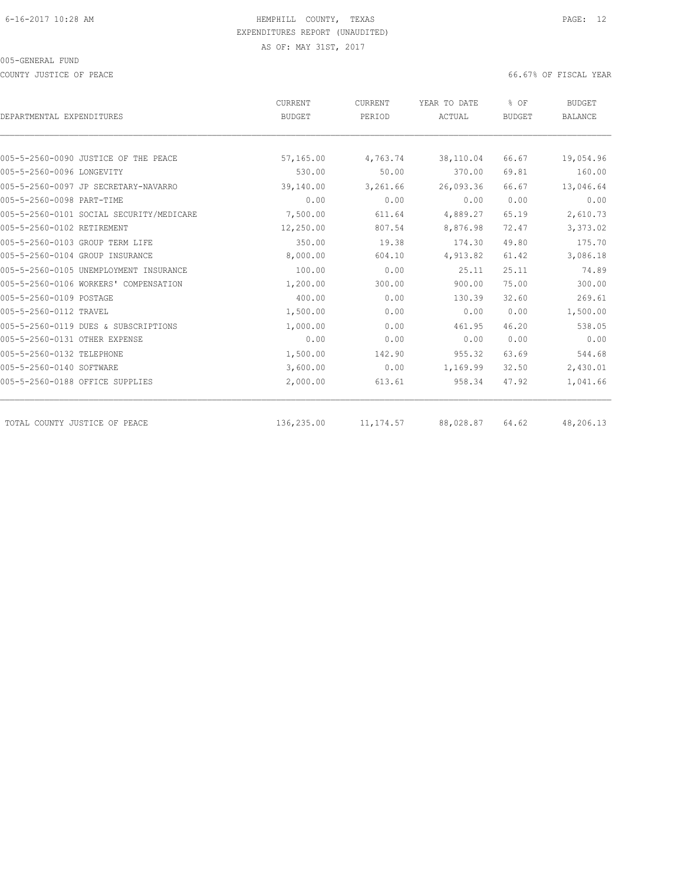COUNTY JUSTICE OF PEACE **EXECUTE OF PEACE** 66.67% OF FISCAL YEAR

|                                          | CURRENT       | CURRENT    | YEAR TO DATE | % OF<br><b>BUDGET</b> | <b>BUDGET</b><br><b>BALANCE</b> |
|------------------------------------------|---------------|------------|--------------|-----------------------|---------------------------------|
| DEPARTMENTAL EXPENDITURES                | <b>BUDGET</b> | PERIOD     | ACTUAL       |                       |                                 |
|                                          |               |            |              |                       |                                 |
| 005-5-2560-0090 JUSTICE OF THE PEACE     | 57,165.00     | 4,763.74   | 38,110.04    | 66.67                 | 19,054.96                       |
| 005-5-2560-0096 LONGEVITY                | 530.00        | 50.00      | 370.00       | 69.81                 | 160.00                          |
| 005-5-2560-0097 JP SECRETARY-NAVARRO     | 39,140.00     | 3,261.66   | 26,093.36    | 66.67                 | 13,046.64                       |
| 005-5-2560-0098 PART-TIME                | 0.00          | 0.00       | 0.00         | 0.00                  | 0.00                            |
| 005-5-2560-0101 SOCIAL SECURITY/MEDICARE | 7,500.00      | 611.64     | 4,889.27     | 65.19                 | 2,610.73                        |
| 005-5-2560-0102 RETIREMENT               | 12,250.00     | 807.54     | 8,876.98     | 72.47                 | 3,373.02                        |
| 005-5-2560-0103 GROUP TERM LIFE          | 350.00        | 19.38      | 174.30       | 49.80                 | 175.70                          |
| 005-5-2560-0104 GROUP INSURANCE          | 8,000.00      | 604.10     | 4,913.82     | 61.42                 | 3,086.18                        |
| 005-5-2560-0105 UNEMPLOYMENT INSURANCE   | 100.00        | 0.00       | 25.11        | 25.11                 | 74.89                           |
| 005-5-2560-0106 WORKERS' COMPENSATION    | 1,200.00      | 300.00     | 900.00       | 75.00                 | 300.00                          |
| 005-5-2560-0109 POSTAGE                  | 400.00        | 0.00       | 130.39       | 32.60                 | 269.61                          |
| 005-5-2560-0112 TRAVEL                   | 1,500.00      | 0.00       | 0.00         | 0.00                  | 1,500.00                        |
| 005-5-2560-0119 DUES & SUBSCRIPTIONS     | 1,000.00      | 0.00       | 461.95       | 46.20                 | 538.05                          |
| 005-5-2560-0131 OTHER EXPENSE            | 0.00          | 0.00       | 0.00         | 0.00                  | 0.00                            |
| 005-5-2560-0132 TELEPHONE                | 1,500.00      | 142.90     | 955.32       | 63.69                 | 544.68                          |
| 005-5-2560-0140 SOFTWARE                 | 3,600.00      | 0.00       | 1,169.99     | 32.50                 | 2,430.01                        |
| 005-5-2560-0188 OFFICE SUPPLIES          | 2,000.00      | 613.61     | 958.34       | 47.92                 | 1,041.66                        |
| TOTAL COUNTY JUSTICE OF PEACE            | 136,235.00    | 11, 174.57 | 88,028.87    | 64.62                 | 48,206.13                       |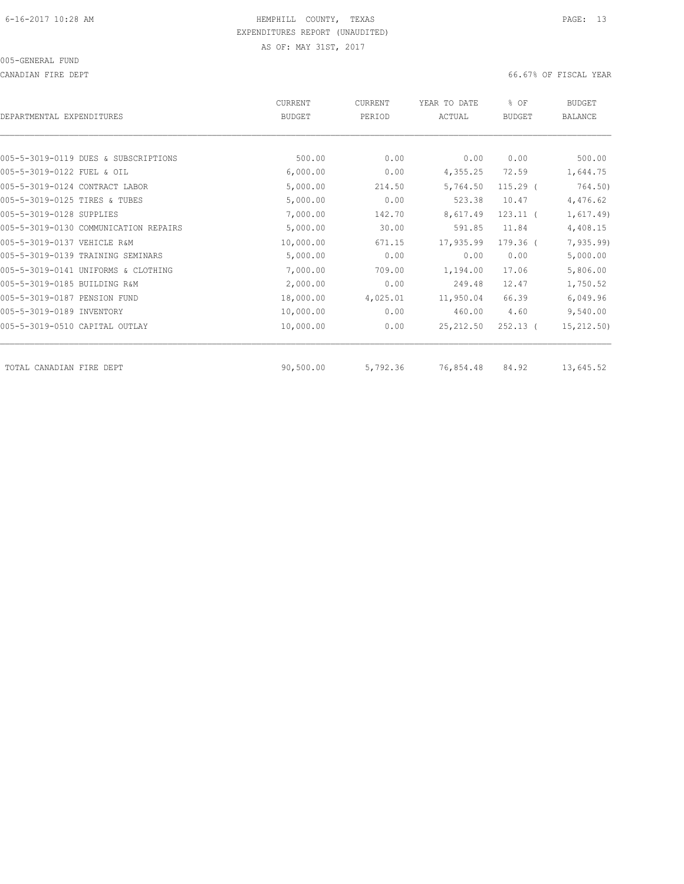CANADIAN FIRE DEPT 66.67% OF FISCAL YEAR

| DEPARTMENTAL EXPENDITURES             | CURRENT<br><b>BUDGET</b> | CURRENT<br>PERIOD | YEAR TO DATE<br>ACTUAL | % OF<br><b>BUDGET</b> | <b>BUDGET</b><br>BALANCE |
|---------------------------------------|--------------------------|-------------------|------------------------|-----------------------|--------------------------|
|                                       |                          |                   |                        |                       |                          |
| 005-5-3019-0119 DUES & SUBSCRIPTIONS  | 500.00                   | 0.00              | 0.00                   | 0.00                  | 500.00                   |
| 005-5-3019-0122 FUEL & OIL            | 6,000.00                 | 0.00              | 4,355.25               | 72.59                 | 1,644.75                 |
| 005-5-3019-0124 CONTRACT LABOR        | 5,000.00                 | 214.50            | 5,764.50               | $115.29$ $($          | 764.50)                  |
| 005-5-3019-0125 TIRES & TUBES         | 5,000.00                 | 0.00              | 523.38                 | 10.47                 | 4,476.62                 |
| 005-5-3019-0128 SUPPLIES              | 7,000.00                 | 142.70            | 8,617.49               | $123.11$ $($          | 1,617.49                 |
| 005-5-3019-0130 COMMUNICATION REPAIRS | 5,000.00                 | 30.00             | 591.85                 | 11.84                 | 4,408.15                 |
| 005-5-3019-0137 VEHICLE R&M           | 10,000.00                | 671.15            | 17,935.99              | $179.36$ (            | 7, 935.99                |
| 005-5-3019-0139 TRAINING SEMINARS     | 5,000.00                 | 0.00              | 0.00                   | 0.00                  | 5,000.00                 |
| 005-5-3019-0141 UNIFORMS & CLOTHING   | 7,000.00                 | 709.00            | 1,194.00               | 17.06                 | 5,806.00                 |
| 005-5-3019-0185 BUILDING R&M          | 2,000.00                 | 0.00              | 249.48                 | 12.47                 | 1,750.52                 |
| 005-5-3019-0187 PENSION FUND          | 18,000.00                | 4,025.01          | 11,950.04              | 66.39                 | 6,049.96                 |
| 005-5-3019-0189 INVENTORY             | 10,000.00                | 0.00              | 460.00                 | 4.60                  | 9,540.00                 |
| 005-5-3019-0510 CAPITAL OUTLAY        | 10,000.00                | 0.00              | 25, 212.50             | $252.13$ (            | 15, 212.50)              |
| TOTAL CANADIAN FIRE DEPT              | 90,500.00                | 5,792.36          | 76,854.48              | 84.92                 | 13,645.52                |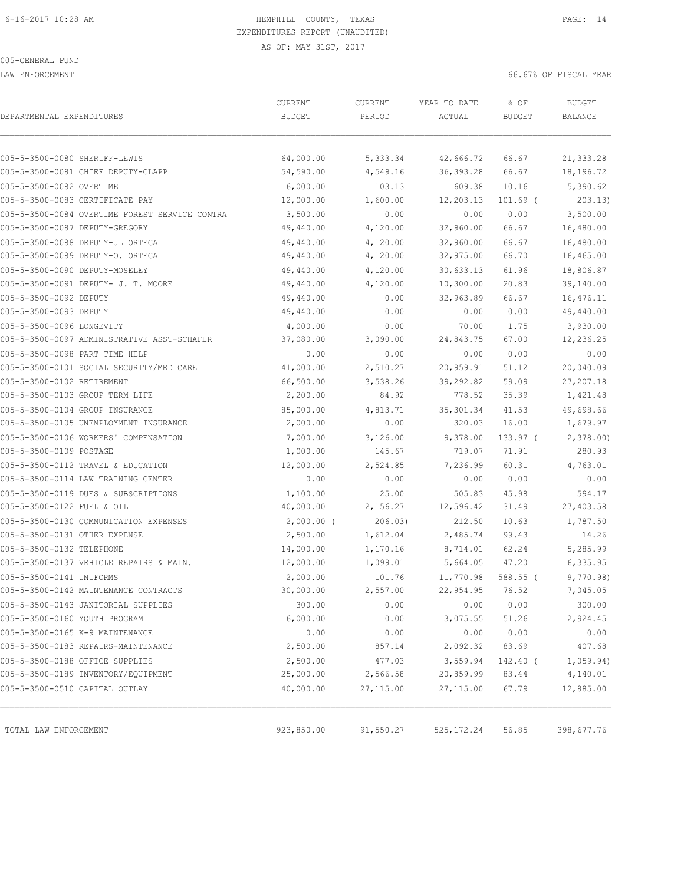LAW ENFORCEMENT 66.67% OF FISCAL YEAR

| 005-5-3500-0080 SHERIFF-LEWIS<br>64,000.00<br>5,333.34<br>42,666.72<br>66.67<br>005-5-3500-0081 CHIEF DEPUTY-CLAPP<br>54,590.00<br>4,549.16<br>36, 393.28<br>66.67<br>005-5-3500-0082 OVERTIME<br>6,000.00<br>103.13<br>609.38<br>10.16<br>005-5-3500-0083 CERTIFICATE PAY<br>12,000.00<br>1,600.00<br>12,203.13<br>$101.69$ (<br>0.00<br>005-5-3500-0084 OVERTIME FOREST SERVICE CONTRA<br>3,500.00<br>0.00<br>0.00<br>005-5-3500-0087 DEPUTY-GREGORY<br>49,440.00<br>4,120.00<br>32,960.00<br>66.67<br>66.67<br>005-5-3500-0088 DEPUTY-JL ORTEGA<br>49,440.00<br>4,120.00<br>32,960.00<br>66.70<br>005-5-3500-0089 DEPUTY-O. ORTEGA<br>49,440.00<br>4,120.00<br>32,975.00<br>005-5-3500-0090 DEPUTY-MOSELEY<br>49,440.00<br>4,120.00<br>30,633.13<br>61.96<br>005-5-3500-0091 DEPUTY- J. T. MOORE<br>10,300.00<br>20.83<br>49,440.00<br>4,120.00<br>005-5-3500-0092 DEPUTY<br>49,440.00<br>32,963.89<br>66.67<br>0.00<br>0.00<br>005-5-3500-0093 DEPUTY<br>49,440.00<br>0.00<br>0.00<br>005-5-3500-0096 LONGEVITY<br>4,000.00<br>0.00<br>70.00<br>1.75<br>005-5-3500-0097 ADMINISTRATIVE ASST-SCHAFER<br>37,080.00<br>3,090.00<br>24,843.75<br>67.00<br>005-5-3500-0098 PART TIME HELP<br>0.00<br>0.00<br>0.00<br>0.00<br>41,000.00<br>20,959.91<br>005-5-3500-0101 SOCIAL SECURITY/MEDICARE<br>2,510.27<br>51.12<br>66,500.00<br>59.09<br>005-5-3500-0102 RETIREMENT<br>3,538.26<br>39,292.82<br>005-5-3500-0103 GROUP TERM LIFE<br>2,200.00<br>84.92<br>778.52<br>35.39<br>85,000.00<br>4,813.71<br>41.53<br>005-5-3500-0104 GROUP INSURANCE<br>35, 301.34<br>2,000.00<br>16.00<br>005-5-3500-0105 UNEMPLOYMENT INSURANCE<br>0.00<br>320.03<br>005-5-3500-0106 WORKERS' COMPENSATION<br>7,000.00<br>3,126.00<br>9,378.00<br>$133.97$ (<br>005-5-3500-0109 POSTAGE<br>1,000.00<br>145.67<br>719.07<br>71.91<br>12,000.00<br>60.31<br>005-5-3500-0112 TRAVEL & EDUCATION<br>2,524.85<br>7,236.99<br>0.00<br>0.00<br>0.00<br>005-5-3500-0114 LAW TRAINING CENTER<br>0.00<br>005-5-3500-0119 DUES & SUBSCRIPTIONS<br>1,100.00<br>25.00<br>505.83<br>45.98<br>005-5-3500-0122 FUEL & OIL<br>40,000.00<br>2,156.27<br>12,596.42<br>31.49<br>005-5-3500-0130 COMMUNICATION EXPENSES<br>$2,000.00$ (<br>212.50<br>10.63<br>206.03)<br>2,500.00<br>1,612.04<br>2,485.74<br>99.43<br>005-5-3500-0131 OTHER EXPENSE<br>14,000.00<br>005-5-3500-0132 TELEPHONE<br>1,170.16<br>8,714.01<br>62.24<br>005-5-3500-0137 VEHICLE REPAIRS & MAIN.<br>12,000.00<br>47.20<br>1,099.01<br>5,664.05<br>005-5-3500-0141 UNIFORMS<br>2,000.00<br>101.76<br>11,770.98<br>$588.55$ (<br>005-5-3500-0142 MAINTENANCE CONTRACTS<br>30,000.00<br>2,557.00<br>76.52<br>22,954.95<br>005-5-3500-0143 JANITORIAL SUPPLIES<br>300.00<br>0.00<br>0.00<br>0.00<br>0.00<br>005-5-3500-0160 YOUTH PROGRAM<br>6,000.00<br>51.26<br>3,075.55 | <b>BUDGET</b><br>BALANCE |
|----------------------------------------------------------------------------------------------------------------------------------------------------------------------------------------------------------------------------------------------------------------------------------------------------------------------------------------------------------------------------------------------------------------------------------------------------------------------------------------------------------------------------------------------------------------------------------------------------------------------------------------------------------------------------------------------------------------------------------------------------------------------------------------------------------------------------------------------------------------------------------------------------------------------------------------------------------------------------------------------------------------------------------------------------------------------------------------------------------------------------------------------------------------------------------------------------------------------------------------------------------------------------------------------------------------------------------------------------------------------------------------------------------------------------------------------------------------------------------------------------------------------------------------------------------------------------------------------------------------------------------------------------------------------------------------------------------------------------------------------------------------------------------------------------------------------------------------------------------------------------------------------------------------------------------------------------------------------------------------------------------------------------------------------------------------------------------------------------------------------------------------------------------------------------------------------------------------------------------------------------------------------------------------------------------------------------------------------------------------------------------------------------------------------------------------------------------------------------------------------------------------------------------------------------------------------------------------------------------------------------------------------------------------------------------------------------------------------------------------------------------------------------------------------------------|--------------------------|
|                                                                                                                                                                                                                                                                                                                                                                                                                                                                                                                                                                                                                                                                                                                                                                                                                                                                                                                                                                                                                                                                                                                                                                                                                                                                                                                                                                                                                                                                                                                                                                                                                                                                                                                                                                                                                                                                                                                                                                                                                                                                                                                                                                                                                                                                                                                                                                                                                                                                                                                                                                                                                                                                                                                                                                                                          |                          |
|                                                                                                                                                                                                                                                                                                                                                                                                                                                                                                                                                                                                                                                                                                                                                                                                                                                                                                                                                                                                                                                                                                                                                                                                                                                                                                                                                                                                                                                                                                                                                                                                                                                                                                                                                                                                                                                                                                                                                                                                                                                                                                                                                                                                                                                                                                                                                                                                                                                                                                                                                                                                                                                                                                                                                                                                          | 21,333.28                |
|                                                                                                                                                                                                                                                                                                                                                                                                                                                                                                                                                                                                                                                                                                                                                                                                                                                                                                                                                                                                                                                                                                                                                                                                                                                                                                                                                                                                                                                                                                                                                                                                                                                                                                                                                                                                                                                                                                                                                                                                                                                                                                                                                                                                                                                                                                                                                                                                                                                                                                                                                                                                                                                                                                                                                                                                          | 18,196.72                |
|                                                                                                                                                                                                                                                                                                                                                                                                                                                                                                                                                                                                                                                                                                                                                                                                                                                                                                                                                                                                                                                                                                                                                                                                                                                                                                                                                                                                                                                                                                                                                                                                                                                                                                                                                                                                                                                                                                                                                                                                                                                                                                                                                                                                                                                                                                                                                                                                                                                                                                                                                                                                                                                                                                                                                                                                          | 5,390.62                 |
|                                                                                                                                                                                                                                                                                                                                                                                                                                                                                                                                                                                                                                                                                                                                                                                                                                                                                                                                                                                                                                                                                                                                                                                                                                                                                                                                                                                                                                                                                                                                                                                                                                                                                                                                                                                                                                                                                                                                                                                                                                                                                                                                                                                                                                                                                                                                                                                                                                                                                                                                                                                                                                                                                                                                                                                                          | 203.13)                  |
|                                                                                                                                                                                                                                                                                                                                                                                                                                                                                                                                                                                                                                                                                                                                                                                                                                                                                                                                                                                                                                                                                                                                                                                                                                                                                                                                                                                                                                                                                                                                                                                                                                                                                                                                                                                                                                                                                                                                                                                                                                                                                                                                                                                                                                                                                                                                                                                                                                                                                                                                                                                                                                                                                                                                                                                                          | 3,500.00                 |
|                                                                                                                                                                                                                                                                                                                                                                                                                                                                                                                                                                                                                                                                                                                                                                                                                                                                                                                                                                                                                                                                                                                                                                                                                                                                                                                                                                                                                                                                                                                                                                                                                                                                                                                                                                                                                                                                                                                                                                                                                                                                                                                                                                                                                                                                                                                                                                                                                                                                                                                                                                                                                                                                                                                                                                                                          | 16,480.00                |
|                                                                                                                                                                                                                                                                                                                                                                                                                                                                                                                                                                                                                                                                                                                                                                                                                                                                                                                                                                                                                                                                                                                                                                                                                                                                                                                                                                                                                                                                                                                                                                                                                                                                                                                                                                                                                                                                                                                                                                                                                                                                                                                                                                                                                                                                                                                                                                                                                                                                                                                                                                                                                                                                                                                                                                                                          | 16,480.00                |
|                                                                                                                                                                                                                                                                                                                                                                                                                                                                                                                                                                                                                                                                                                                                                                                                                                                                                                                                                                                                                                                                                                                                                                                                                                                                                                                                                                                                                                                                                                                                                                                                                                                                                                                                                                                                                                                                                                                                                                                                                                                                                                                                                                                                                                                                                                                                                                                                                                                                                                                                                                                                                                                                                                                                                                                                          | 16,465.00                |
|                                                                                                                                                                                                                                                                                                                                                                                                                                                                                                                                                                                                                                                                                                                                                                                                                                                                                                                                                                                                                                                                                                                                                                                                                                                                                                                                                                                                                                                                                                                                                                                                                                                                                                                                                                                                                                                                                                                                                                                                                                                                                                                                                                                                                                                                                                                                                                                                                                                                                                                                                                                                                                                                                                                                                                                                          | 18,806.87                |
|                                                                                                                                                                                                                                                                                                                                                                                                                                                                                                                                                                                                                                                                                                                                                                                                                                                                                                                                                                                                                                                                                                                                                                                                                                                                                                                                                                                                                                                                                                                                                                                                                                                                                                                                                                                                                                                                                                                                                                                                                                                                                                                                                                                                                                                                                                                                                                                                                                                                                                                                                                                                                                                                                                                                                                                                          | 39,140.00                |
|                                                                                                                                                                                                                                                                                                                                                                                                                                                                                                                                                                                                                                                                                                                                                                                                                                                                                                                                                                                                                                                                                                                                                                                                                                                                                                                                                                                                                                                                                                                                                                                                                                                                                                                                                                                                                                                                                                                                                                                                                                                                                                                                                                                                                                                                                                                                                                                                                                                                                                                                                                                                                                                                                                                                                                                                          | 16,476.11                |
|                                                                                                                                                                                                                                                                                                                                                                                                                                                                                                                                                                                                                                                                                                                                                                                                                                                                                                                                                                                                                                                                                                                                                                                                                                                                                                                                                                                                                                                                                                                                                                                                                                                                                                                                                                                                                                                                                                                                                                                                                                                                                                                                                                                                                                                                                                                                                                                                                                                                                                                                                                                                                                                                                                                                                                                                          | 49,440.00                |
|                                                                                                                                                                                                                                                                                                                                                                                                                                                                                                                                                                                                                                                                                                                                                                                                                                                                                                                                                                                                                                                                                                                                                                                                                                                                                                                                                                                                                                                                                                                                                                                                                                                                                                                                                                                                                                                                                                                                                                                                                                                                                                                                                                                                                                                                                                                                                                                                                                                                                                                                                                                                                                                                                                                                                                                                          | 3,930.00                 |
|                                                                                                                                                                                                                                                                                                                                                                                                                                                                                                                                                                                                                                                                                                                                                                                                                                                                                                                                                                                                                                                                                                                                                                                                                                                                                                                                                                                                                                                                                                                                                                                                                                                                                                                                                                                                                                                                                                                                                                                                                                                                                                                                                                                                                                                                                                                                                                                                                                                                                                                                                                                                                                                                                                                                                                                                          | 12,236.25                |
|                                                                                                                                                                                                                                                                                                                                                                                                                                                                                                                                                                                                                                                                                                                                                                                                                                                                                                                                                                                                                                                                                                                                                                                                                                                                                                                                                                                                                                                                                                                                                                                                                                                                                                                                                                                                                                                                                                                                                                                                                                                                                                                                                                                                                                                                                                                                                                                                                                                                                                                                                                                                                                                                                                                                                                                                          | 0.00                     |
|                                                                                                                                                                                                                                                                                                                                                                                                                                                                                                                                                                                                                                                                                                                                                                                                                                                                                                                                                                                                                                                                                                                                                                                                                                                                                                                                                                                                                                                                                                                                                                                                                                                                                                                                                                                                                                                                                                                                                                                                                                                                                                                                                                                                                                                                                                                                                                                                                                                                                                                                                                                                                                                                                                                                                                                                          | 20,040.09                |
|                                                                                                                                                                                                                                                                                                                                                                                                                                                                                                                                                                                                                                                                                                                                                                                                                                                                                                                                                                                                                                                                                                                                                                                                                                                                                                                                                                                                                                                                                                                                                                                                                                                                                                                                                                                                                                                                                                                                                                                                                                                                                                                                                                                                                                                                                                                                                                                                                                                                                                                                                                                                                                                                                                                                                                                                          | 27,207.18                |
|                                                                                                                                                                                                                                                                                                                                                                                                                                                                                                                                                                                                                                                                                                                                                                                                                                                                                                                                                                                                                                                                                                                                                                                                                                                                                                                                                                                                                                                                                                                                                                                                                                                                                                                                                                                                                                                                                                                                                                                                                                                                                                                                                                                                                                                                                                                                                                                                                                                                                                                                                                                                                                                                                                                                                                                                          | 1,421.48                 |
|                                                                                                                                                                                                                                                                                                                                                                                                                                                                                                                                                                                                                                                                                                                                                                                                                                                                                                                                                                                                                                                                                                                                                                                                                                                                                                                                                                                                                                                                                                                                                                                                                                                                                                                                                                                                                                                                                                                                                                                                                                                                                                                                                                                                                                                                                                                                                                                                                                                                                                                                                                                                                                                                                                                                                                                                          | 49,698.66                |
|                                                                                                                                                                                                                                                                                                                                                                                                                                                                                                                                                                                                                                                                                                                                                                                                                                                                                                                                                                                                                                                                                                                                                                                                                                                                                                                                                                                                                                                                                                                                                                                                                                                                                                                                                                                                                                                                                                                                                                                                                                                                                                                                                                                                                                                                                                                                                                                                                                                                                                                                                                                                                                                                                                                                                                                                          | 1,679.97                 |
|                                                                                                                                                                                                                                                                                                                                                                                                                                                                                                                                                                                                                                                                                                                                                                                                                                                                                                                                                                                                                                                                                                                                                                                                                                                                                                                                                                                                                                                                                                                                                                                                                                                                                                                                                                                                                                                                                                                                                                                                                                                                                                                                                                                                                                                                                                                                                                                                                                                                                                                                                                                                                                                                                                                                                                                                          | 2,378.00                 |
|                                                                                                                                                                                                                                                                                                                                                                                                                                                                                                                                                                                                                                                                                                                                                                                                                                                                                                                                                                                                                                                                                                                                                                                                                                                                                                                                                                                                                                                                                                                                                                                                                                                                                                                                                                                                                                                                                                                                                                                                                                                                                                                                                                                                                                                                                                                                                                                                                                                                                                                                                                                                                                                                                                                                                                                                          | 280.93                   |
|                                                                                                                                                                                                                                                                                                                                                                                                                                                                                                                                                                                                                                                                                                                                                                                                                                                                                                                                                                                                                                                                                                                                                                                                                                                                                                                                                                                                                                                                                                                                                                                                                                                                                                                                                                                                                                                                                                                                                                                                                                                                                                                                                                                                                                                                                                                                                                                                                                                                                                                                                                                                                                                                                                                                                                                                          | 4,763.01                 |
|                                                                                                                                                                                                                                                                                                                                                                                                                                                                                                                                                                                                                                                                                                                                                                                                                                                                                                                                                                                                                                                                                                                                                                                                                                                                                                                                                                                                                                                                                                                                                                                                                                                                                                                                                                                                                                                                                                                                                                                                                                                                                                                                                                                                                                                                                                                                                                                                                                                                                                                                                                                                                                                                                                                                                                                                          | 0.00                     |
|                                                                                                                                                                                                                                                                                                                                                                                                                                                                                                                                                                                                                                                                                                                                                                                                                                                                                                                                                                                                                                                                                                                                                                                                                                                                                                                                                                                                                                                                                                                                                                                                                                                                                                                                                                                                                                                                                                                                                                                                                                                                                                                                                                                                                                                                                                                                                                                                                                                                                                                                                                                                                                                                                                                                                                                                          | 594.17                   |
|                                                                                                                                                                                                                                                                                                                                                                                                                                                                                                                                                                                                                                                                                                                                                                                                                                                                                                                                                                                                                                                                                                                                                                                                                                                                                                                                                                                                                                                                                                                                                                                                                                                                                                                                                                                                                                                                                                                                                                                                                                                                                                                                                                                                                                                                                                                                                                                                                                                                                                                                                                                                                                                                                                                                                                                                          | 27,403.58                |
|                                                                                                                                                                                                                                                                                                                                                                                                                                                                                                                                                                                                                                                                                                                                                                                                                                                                                                                                                                                                                                                                                                                                                                                                                                                                                                                                                                                                                                                                                                                                                                                                                                                                                                                                                                                                                                                                                                                                                                                                                                                                                                                                                                                                                                                                                                                                                                                                                                                                                                                                                                                                                                                                                                                                                                                                          | 1,787.50                 |
|                                                                                                                                                                                                                                                                                                                                                                                                                                                                                                                                                                                                                                                                                                                                                                                                                                                                                                                                                                                                                                                                                                                                                                                                                                                                                                                                                                                                                                                                                                                                                                                                                                                                                                                                                                                                                                                                                                                                                                                                                                                                                                                                                                                                                                                                                                                                                                                                                                                                                                                                                                                                                                                                                                                                                                                                          | 14.26                    |
|                                                                                                                                                                                                                                                                                                                                                                                                                                                                                                                                                                                                                                                                                                                                                                                                                                                                                                                                                                                                                                                                                                                                                                                                                                                                                                                                                                                                                                                                                                                                                                                                                                                                                                                                                                                                                                                                                                                                                                                                                                                                                                                                                                                                                                                                                                                                                                                                                                                                                                                                                                                                                                                                                                                                                                                                          | 5,285.99                 |
|                                                                                                                                                                                                                                                                                                                                                                                                                                                                                                                                                                                                                                                                                                                                                                                                                                                                                                                                                                                                                                                                                                                                                                                                                                                                                                                                                                                                                                                                                                                                                                                                                                                                                                                                                                                                                                                                                                                                                                                                                                                                                                                                                                                                                                                                                                                                                                                                                                                                                                                                                                                                                                                                                                                                                                                                          | 6,335.95                 |
|                                                                                                                                                                                                                                                                                                                                                                                                                                                                                                                                                                                                                                                                                                                                                                                                                                                                                                                                                                                                                                                                                                                                                                                                                                                                                                                                                                                                                                                                                                                                                                                                                                                                                                                                                                                                                                                                                                                                                                                                                                                                                                                                                                                                                                                                                                                                                                                                                                                                                                                                                                                                                                                                                                                                                                                                          | 9,770.98)                |
|                                                                                                                                                                                                                                                                                                                                                                                                                                                                                                                                                                                                                                                                                                                                                                                                                                                                                                                                                                                                                                                                                                                                                                                                                                                                                                                                                                                                                                                                                                                                                                                                                                                                                                                                                                                                                                                                                                                                                                                                                                                                                                                                                                                                                                                                                                                                                                                                                                                                                                                                                                                                                                                                                                                                                                                                          | 7,045.05                 |
|                                                                                                                                                                                                                                                                                                                                                                                                                                                                                                                                                                                                                                                                                                                                                                                                                                                                                                                                                                                                                                                                                                                                                                                                                                                                                                                                                                                                                                                                                                                                                                                                                                                                                                                                                                                                                                                                                                                                                                                                                                                                                                                                                                                                                                                                                                                                                                                                                                                                                                                                                                                                                                                                                                                                                                                                          | 300.00                   |
|                                                                                                                                                                                                                                                                                                                                                                                                                                                                                                                                                                                                                                                                                                                                                                                                                                                                                                                                                                                                                                                                                                                                                                                                                                                                                                                                                                                                                                                                                                                                                                                                                                                                                                                                                                                                                                                                                                                                                                                                                                                                                                                                                                                                                                                                                                                                                                                                                                                                                                                                                                                                                                                                                                                                                                                                          | 2,924.45                 |
| 005-5-3500-0165 K-9 MAINTENANCE<br>0.00<br>0.00<br>0.00<br>0.00                                                                                                                                                                                                                                                                                                                                                                                                                                                                                                                                                                                                                                                                                                                                                                                                                                                                                                                                                                                                                                                                                                                                                                                                                                                                                                                                                                                                                                                                                                                                                                                                                                                                                                                                                                                                                                                                                                                                                                                                                                                                                                                                                                                                                                                                                                                                                                                                                                                                                                                                                                                                                                                                                                                                          | 0.00                     |
| 005-5-3500-0183 REPAIRS-MAINTENANCE<br>2,500.00<br>2,092.32<br>83.69<br>857.14                                                                                                                                                                                                                                                                                                                                                                                                                                                                                                                                                                                                                                                                                                                                                                                                                                                                                                                                                                                                                                                                                                                                                                                                                                                                                                                                                                                                                                                                                                                                                                                                                                                                                                                                                                                                                                                                                                                                                                                                                                                                                                                                                                                                                                                                                                                                                                                                                                                                                                                                                                                                                                                                                                                           | 407.68                   |
| 005-5-3500-0188 OFFICE SUPPLIES<br>2,500.00<br>477.03<br>3,559.94<br>142.40 (                                                                                                                                                                                                                                                                                                                                                                                                                                                                                                                                                                                                                                                                                                                                                                                                                                                                                                                                                                                                                                                                                                                                                                                                                                                                                                                                                                                                                                                                                                                                                                                                                                                                                                                                                                                                                                                                                                                                                                                                                                                                                                                                                                                                                                                                                                                                                                                                                                                                                                                                                                                                                                                                                                                            | 1,059.94)                |
| 005-5-3500-0189 INVENTORY/EQUIPMENT<br>25,000.00<br>2,566.58<br>20,859.99<br>83.44                                                                                                                                                                                                                                                                                                                                                                                                                                                                                                                                                                                                                                                                                                                                                                                                                                                                                                                                                                                                                                                                                                                                                                                                                                                                                                                                                                                                                                                                                                                                                                                                                                                                                                                                                                                                                                                                                                                                                                                                                                                                                                                                                                                                                                                                                                                                                                                                                                                                                                                                                                                                                                                                                                                       | 4,140.01                 |
| 005-5-3500-0510 CAPITAL OUTLAY<br>40,000.00<br>27,115.00<br>27, 115.00<br>67.79                                                                                                                                                                                                                                                                                                                                                                                                                                                                                                                                                                                                                                                                                                                                                                                                                                                                                                                                                                                                                                                                                                                                                                                                                                                                                                                                                                                                                                                                                                                                                                                                                                                                                                                                                                                                                                                                                                                                                                                                                                                                                                                                                                                                                                                                                                                                                                                                                                                                                                                                                                                                                                                                                                                          | 12,885.00                |
| 923,850.00<br>91,550.27<br>525, 172.24<br>56.85<br>TOTAL LAW ENFORCEMENT                                                                                                                                                                                                                                                                                                                                                                                                                                                                                                                                                                                                                                                                                                                                                                                                                                                                                                                                                                                                                                                                                                                                                                                                                                                                                                                                                                                                                                                                                                                                                                                                                                                                                                                                                                                                                                                                                                                                                                                                                                                                                                                                                                                                                                                                                                                                                                                                                                                                                                                                                                                                                                                                                                                                 | 398,677.76               |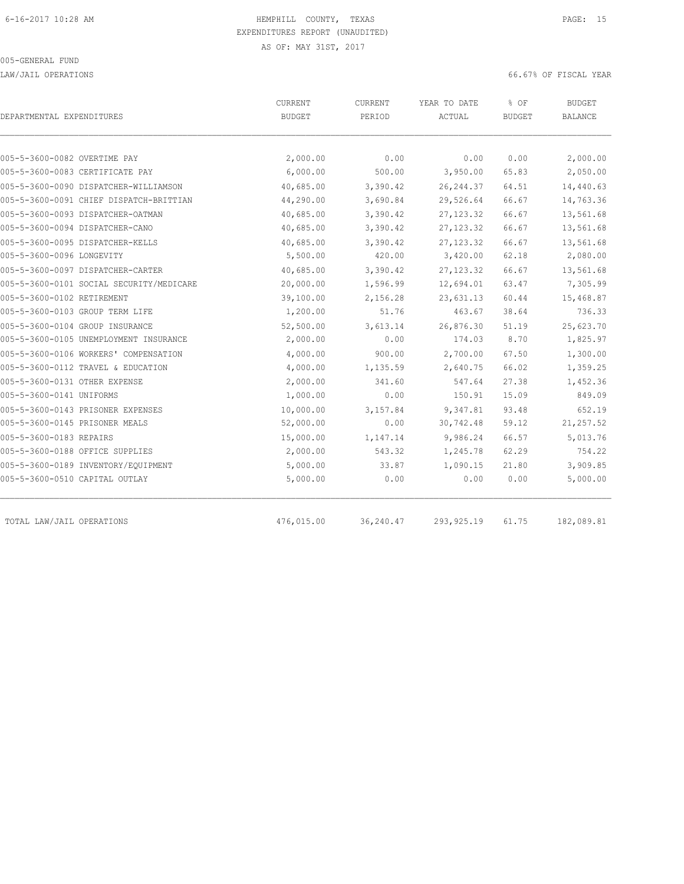LAW/JAIL OPERATIONS 66.67% OF FISCAL YEAR

| DEPARTMENTAL EXPENDITURES       |                                          | CURRENT<br><b>BUDGET</b> | <b>CURRENT</b><br>PERIOD | YEAR TO DATE<br>ACTUAL | % OF<br><b>BUDGET</b> | <b>BUDGET</b><br><b>BALANCE</b> |
|---------------------------------|------------------------------------------|--------------------------|--------------------------|------------------------|-----------------------|---------------------------------|
|                                 |                                          |                          |                          |                        |                       |                                 |
| 005-5-3600-0082 OVERTIME PAY    |                                          | 2,000.00                 | 0.00                     | 0.00                   | 0.00                  | 2,000.00                        |
|                                 | 005-5-3600-0083 CERTIFICATE PAY          | 6,000.00                 | 500.00                   | 3,950.00               | 65.83                 | 2,050.00                        |
|                                 | 005-5-3600-0090 DISPATCHER-WILLIAMSON    | 40,685.00                | 3,390.42                 | 26, 244.37             | 64.51                 | 14,440.63                       |
|                                 | 005-5-3600-0091 CHIEF DISPATCH-BRITTIAN  | 44,290.00                | 3,690.84                 | 29,526.64              | 66.67                 | 14,763.36                       |
|                                 | 005-5-3600-0093 DISPATCHER-OATMAN        | 40,685.00                | 3,390.42                 | 27, 123.32             | 66.67                 | 13,561.68                       |
| 005-5-3600-0094 DISPATCHER-CANO |                                          | 40,685.00                | 3,390.42                 | 27, 123.32             | 66.67                 | 13,561.68                       |
|                                 | 005-5-3600-0095 DISPATCHER-KELLS         | 40,685.00                | 3,390.42                 | 27, 123.32             | 66.67                 | 13,561.68                       |
| 005-5-3600-0096 LONGEVITY       |                                          | 5,500.00                 | 420.00                   | 3,420.00               | 62.18                 | 2,080.00                        |
|                                 | 005-5-3600-0097 DISPATCHER-CARTER        | 40,685.00                | 3,390.42                 | 27, 123.32             | 66.67                 | 13,561.68                       |
|                                 | 005-5-3600-0101 SOCIAL SECURITY/MEDICARE | 20,000.00                | 1,596.99                 | 12,694.01              | 63.47                 | 7,305.99                        |
| 005-5-3600-0102 RETIREMENT      |                                          | 39,100.00                | 2,156.28                 | 23,631.13              | 60.44                 | 15,468.87                       |
| 005-5-3600-0103 GROUP TERM LIFE |                                          | 1,200.00                 | 51.76                    | 463.67                 | 38.64                 | 736.33                          |
| 005-5-3600-0104 GROUP INSURANCE |                                          | 52,500.00                | 3,613.14                 | 26,876.30              | 51.19                 | 25,623.70                       |
|                                 | 005-5-3600-0105 UNEMPLOYMENT INSURANCE   | 2,000.00                 | 0.00                     | 174.03                 | 8.70                  | 1,825.97                        |
|                                 | 005-5-3600-0106 WORKERS' COMPENSATION    | 4,000.00                 | 900.00                   | 2,700.00               | 67.50                 | 1,300.00                        |
|                                 | 005-5-3600-0112 TRAVEL & EDUCATION       | 4,000.00                 | 1,135.59                 | 2,640.75               | 66.02                 | 1,359.25                        |
| 005-5-3600-0131 OTHER EXPENSE   |                                          | 2,000.00                 | 341.60                   | 547.64                 | 27.38                 | 1,452.36                        |
| 005-5-3600-0141 UNIFORMS        |                                          | 1,000.00                 | 0.00                     | 150.91                 | 15.09                 | 849.09                          |
|                                 | 005-5-3600-0143 PRISONER EXPENSES        | 10,000.00                | 3,157.84                 | 9,347.81               | 93.48                 | 652.19                          |
| 005-5-3600-0145 PRISONER MEALS  |                                          | 52,000.00                | 0.00                     | 30,742.48              | 59.12                 | 21, 257.52                      |
| 005-5-3600-0183 REPAIRS         |                                          | 15,000.00                | 1,147.14                 | 9,986.24               | 66.57                 | 5,013.76                        |
| 005-5-3600-0188 OFFICE SUPPLIES |                                          | 2,000.00                 | 543.32                   | 1,245.78               | 62.29                 | 754.22                          |
|                                 | 005-5-3600-0189 INVENTORY/EQUIPMENT      | 5,000.00                 | 33.87                    | 1,090.15               | 21.80                 | 3,909.85                        |
| 005-5-3600-0510 CAPITAL OUTLAY  |                                          | 5,000.00                 | 0.00                     | 0.00                   | 0.00                  | 5,000.00                        |
| TOTAL LAW/JAIL OPERATIONS       |                                          | 476,015.00               | 36,240.47                | 293, 925.19            | 61.75                 | 182,089.81                      |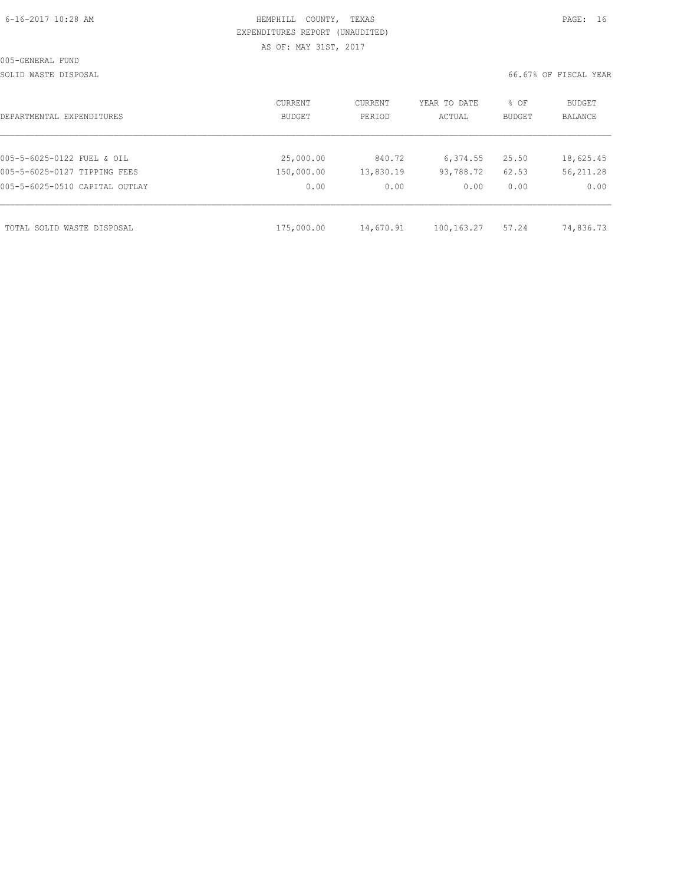|  | 6-16-2017 10:28 AM |  |
|--|--------------------|--|
|  |                    |  |

# HEMPHILL COUNTY, TEXAS **Example 20:2018 10:28 AM HEMPHILL** COUNTY, TEXAS EXPENDITURES REPORT (UNAUDITED) AS OF: MAY 31ST, 2017

SOLID WASTE DISPOSAL 66.67% OF FISCAL YEAR

| DEPARTMENTAL EXPENDITURES      | CURRENT<br><b>BUDGET</b> | CURRENT<br>PERIOD | YEAR TO DATE<br>ACTUAL | % OF<br>BUDGET | BUDGET<br>BALANCE |
|--------------------------------|--------------------------|-------------------|------------------------|----------------|-------------------|
|                                |                          |                   |                        |                |                   |
| 005-5-6025-0122 FUEL & OIL     | 25,000.00                | 840.72            | 6,374.55               | 25.50          | 18,625.45         |
| 005-5-6025-0127 TIPPING FEES   | 150,000.00               | 13,830.19         | 93,788.72              | 62.53          | 56, 211.28        |
| 005-5-6025-0510 CAPITAL OUTLAY | 0.00                     | 0.00              | 0.00                   | 0.00           | 0.00              |
|                                |                          |                   |                        |                |                   |
| TOTAL SOLID WASTE DISPOSAL     | 175,000.00               | 14,670.91         | 100, 163. 27           | 57.24          | 74,836.73         |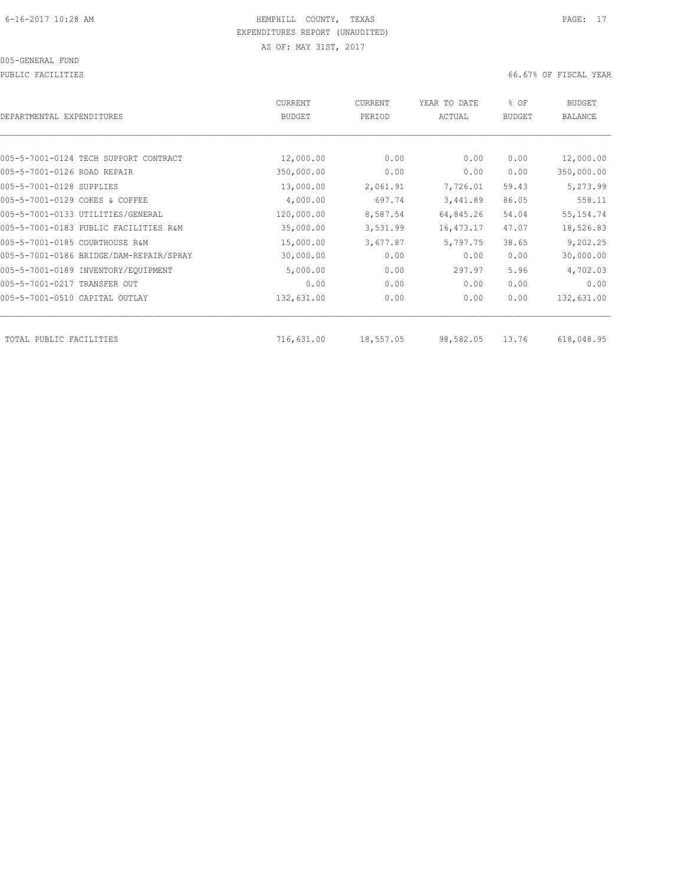PUBLIC FACILITIES 66.67% OF FISCAL YEAR

| <b>CURRENT</b><br>BUDGET | CURRENT<br>PERIOD | YEAR TO DATE<br>ACTUAL | % OF<br><b>BUDGET</b> | <b>BUDGET</b><br>BALANCE |
|--------------------------|-------------------|------------------------|-----------------------|--------------------------|
|                          |                   |                        |                       |                          |
| 12,000.00                | 0.00              | 0.00                   | 0.00                  | 12,000.00                |
| 350,000.00               | 0.00              | 0.00                   | 0.00                  | 350,000.00               |
| 13,000.00                | 2,061.91          | 7,726.01               | 59.43                 | 5,273.99                 |
| 4,000.00                 | 697.74            | 3,441.89               | 86.05                 | 558.11                   |
| 120,000.00               | 8,587.54          | 64,845.26              | 54.04                 | 55, 154.74               |
| 35,000.00                | 3,531.99          | 16, 473.17             | 47.07                 | 18,526.83                |
| 15,000.00                | 3,677.87          | 5,797.75               | 38.65                 | 9,202.25                 |
| 30,000.00                | 0.00              | 0.00                   | 0.00                  | 30,000.00                |
| 5,000.00                 | 0.00              | 297.97                 | 5.96                  | 4,702.03                 |
| 0.00                     | 0.00              | 0.00                   | 0.00                  | 0.00                     |
| 132,631.00               | 0.00              | 0.00                   | 0.00                  | 132,631.00               |
|                          |                   |                        |                       | 618,048.95               |
|                          | 716,631.00        | 18,557.05              | 98,582.05             | 13.76                    |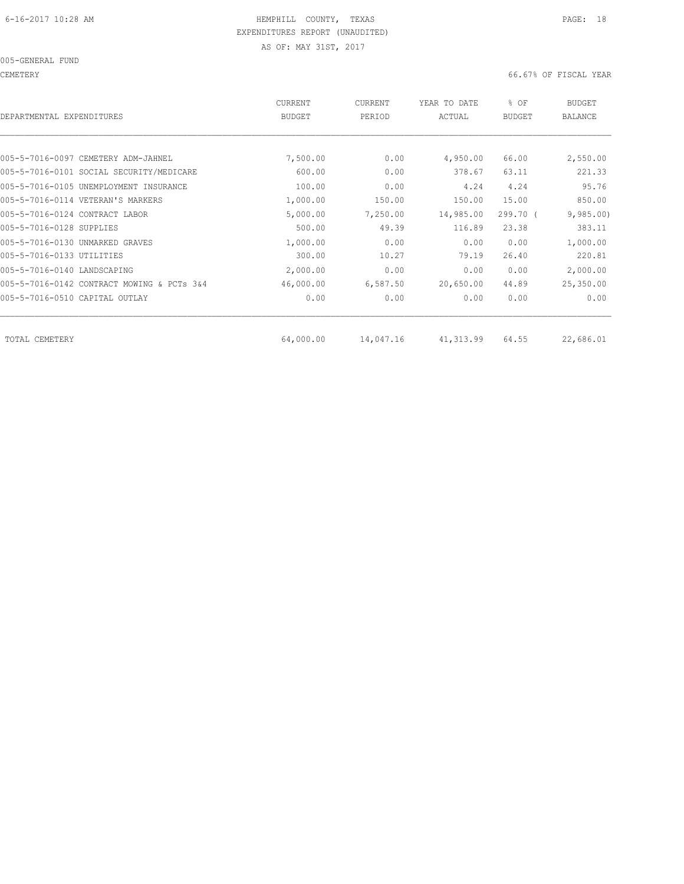005-GENERAL FUND

CEMETERY 66.67% OF FISCAL YEAR

| DEPARTMENTAL EXPENDITURES                  | <b>CURRENT</b><br><b>BUDGET</b> | CURRENT<br>PERIOD | YEAR TO DATE<br>ACTUAL | % OF<br><b>BUDGET</b> | <b>BUDGET</b><br><b>BALANCE</b> |
|--------------------------------------------|---------------------------------|-------------------|------------------------|-----------------------|---------------------------------|
|                                            |                                 |                   |                        |                       |                                 |
| 005-5-7016-0097 CEMETERY ADM-JAHNEL        | 7,500.00                        | 0.00              | 4,950.00               | 66.00                 | 2,550.00                        |
| 005-5-7016-0101 SOCIAL SECURITY/MEDICARE   | 600.00                          | 0.00              | 378.67                 | 63.11                 | 221.33                          |
| 005-5-7016-0105 UNEMPLOYMENT INSURANCE     | 100.00                          | 0.00              | 4.24                   | 4.24                  | 95.76                           |
| 005-5-7016-0114 VETERAN'S MARKERS          | 1,000.00                        | 150.00            | 150.00                 | 15.00                 | 850.00                          |
| 005-5-7016-0124 CONTRACT LABOR             | 5,000.00                        | 7,250.00          | 14,985.00              | 299.70 (              | 9,985.00                        |
| 005-5-7016-0128 SUPPLIES                   | 500.00                          | 49.39             | 116.89                 | 23.38                 | 383.11                          |
| 005-5-7016-0130 UNMARKED GRAVES            | 1,000.00                        | 0.00              | 0.00                   | 0.00                  | 1,000.00                        |
| 005-5-7016-0133 UTILITIES                  | 300.00                          | 10.27             | 79.19                  | 26.40                 | 220.81                          |
| 005-5-7016-0140 LANDSCAPING                | 2,000.00                        | 0.00              | 0.00                   | 0.00                  | 2,000.00                        |
| 005-5-7016-0142 CONTRACT MOWING & PCTs 3&4 | 46,000.00                       | 6,587.50          | 20,650.00              | 44.89                 | 25,350.00                       |
| 005-5-7016-0510 CAPITAL OUTLAY             | 0.00                            | 0.00              | 0.00                   | 0.00                  | 0.00                            |
| TOTAL CEMETERY                             | 64,000.00                       | 14,047.16         | 41,313.99              | 64.55                 | 22,686.01                       |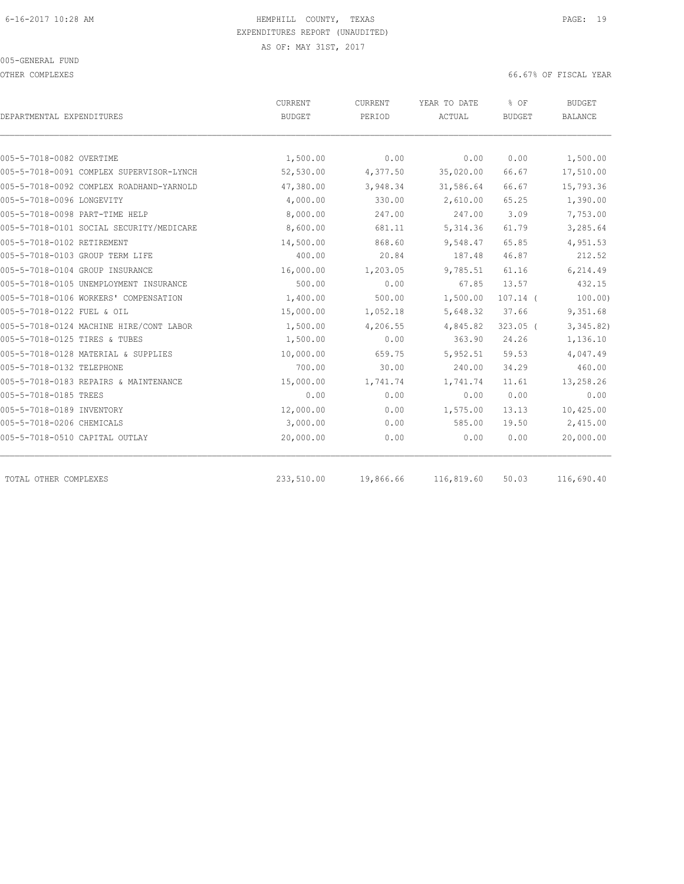OTHER COMPLEXES 66.67% OF FISCAL YEAR

| DEPARTMENTAL EXPENDITURES                | <b>CURRENT</b><br><b>BUDGET</b> | <b>CURRENT</b><br>PERIOD | YEAR TO DATE<br>ACTUAL | % OF<br><b>BUDGET</b> | <b>BUDGET</b><br><b>BALANCE</b> |
|------------------------------------------|---------------------------------|--------------------------|------------------------|-----------------------|---------------------------------|
|                                          |                                 |                          |                        |                       |                                 |
| 005-5-7018-0082 OVERTIME                 | 1,500.00                        | 0.00                     | 0.00                   | 0.00                  | 1,500.00                        |
| 005-5-7018-0091 COMPLEX SUPERVISOR-LYNCH | 52,530.00                       | 4,377.50                 | 35,020.00              | 66.67                 | 17,510.00                       |
| 005-5-7018-0092 COMPLEX ROADHAND-YARNOLD | 47,380.00                       | 3,948.34                 | 31,586.64              | 66.67                 | 15,793.36                       |
| 005-5-7018-0096 LONGEVITY                | 4,000.00                        | 330.00                   | 2,610.00               | 65.25                 | 1,390.00                        |
| 005-5-7018-0098 PART-TIME HELP           | 8,000.00                        | 247.00                   | 247.00                 | 3.09                  | 7,753.00                        |
| 005-5-7018-0101 SOCIAL SECURITY/MEDICARE | 8,600.00                        | 681.11                   | 5, 314.36              | 61.79                 | 3,285.64                        |
| 005-5-7018-0102 RETIREMENT               | 14,500.00                       | 868.60                   | 9,548.47               | 65.85                 | 4,951.53                        |
| 005-5-7018-0103 GROUP TERM LIFE          | 400.00                          | 20.84                    | 187.48                 | 46.87                 | 212.52                          |
| 005-5-7018-0104 GROUP INSURANCE          | 16,000.00                       | 1,203.05                 | 9,785.51               | 61.16                 | 6,214.49                        |
| 005-5-7018-0105 UNEMPLOYMENT INSURANCE   | 500.00                          | 0.00                     | 67.85                  | 13.57                 | 432.15                          |
| 005-5-7018-0106 WORKERS' COMPENSATION    | 1,400.00                        | 500.00                   | 1,500.00               | $107.14$ (            | 100.00)                         |
| 005-5-7018-0122 FUEL & OIL               | 15,000.00                       | 1,052.18                 | 5,648.32               | 37.66                 | 9,351.68                        |
| 005-5-7018-0124 MACHINE HIRE/CONT LABOR  | 1,500.00                        | 4,206.55                 | 4,845.82               | $323.05$ (            | 3,345.82)                       |
| 005-5-7018-0125 TIRES & TUBES            | 1,500.00                        | 0.00                     | 363.90                 | 24.26                 | 1,136.10                        |
| 005-5-7018-0128 MATERIAL & SUPPLIES      | 10,000.00                       | 659.75                   | 5,952.51               | 59.53                 | 4,047.49                        |
| 005-5-7018-0132 TELEPHONE                | 700.00                          | 30.00                    | 240.00                 | 34.29                 | 460.00                          |
| 005-5-7018-0183 REPAIRS & MAINTENANCE    | 15,000.00                       | 1,741.74                 | 1,741.74               | 11.61                 | 13,258.26                       |
| 005-5-7018-0185 TREES                    | 0.00                            | 0.00                     | 0.00                   | 0.00                  | 0.00                            |
| 005-5-7018-0189 INVENTORY                | 12,000.00                       | 0.00                     | 1,575.00               | 13.13                 | 10,425.00                       |
| 005-5-7018-0206 CHEMICALS                | 3,000.00                        | 0.00                     | 585.00                 | 19.50                 | 2,415.00                        |
| 005-5-7018-0510 CAPITAL OUTLAY           | 20,000.00                       | 0.00                     | 0.00                   | 0.00                  | 20,000.00                       |
| TOTAL OTHER COMPLEXES                    | 233,510.00                      | 19,866.66                | 116,819.60             | 50.03                 | 116,690.40                      |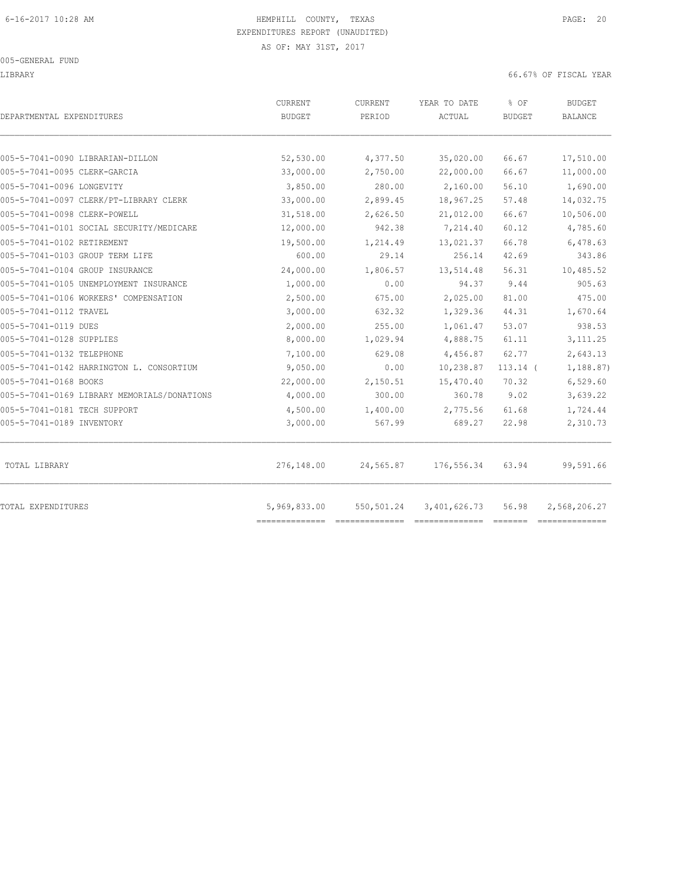LIBRARY 66.67% OF FISCAL YEAR

| DEPARTMENTAL EXPENDITURES                   | CURRENT<br><b>BUDGET</b> | CURRENT<br>PERIOD | YEAR TO DATE<br>ACTUAL | % OF<br><b>BUDGET</b> | <b>BUDGET</b><br><b>BALANCE</b> |
|---------------------------------------------|--------------------------|-------------------|------------------------|-----------------------|---------------------------------|
| 005-5-7041-0090 LIBRARIAN-DILLON            | 52,530.00                | 4,377.50          | 35,020.00              | 66.67                 | 17,510.00                       |
| 005-5-7041-0095 CLERK-GARCIA                | 33,000.00                | 2,750.00          | 22,000.00              | 66.67                 | 11,000.00                       |
| 005-5-7041-0096 LONGEVITY                   | 3,850.00                 | 280.00            | 2,160.00               | 56.10                 | 1,690.00                        |
| 005-5-7041-0097 CLERK/PT-LIBRARY CLERK      | 33,000.00                | 2,899.45          | 18,967.25              | 57.48                 | 14,032.75                       |
| 005-5-7041-0098 CLERK-POWELL                | 31,518.00                | 2,626.50          | 21,012.00              | 66.67                 | 10,506.00                       |
| 005-5-7041-0101 SOCIAL SECURITY/MEDICARE    | 12,000.00                | 942.38            | 7,214.40               | 60.12                 | 4,785.60                        |
| 005-5-7041-0102 RETIREMENT                  | 19,500.00                | 1,214.49          | 13,021.37              | 66.78                 | 6,478.63                        |
| 005-5-7041-0103 GROUP TERM LIFE             | 600.00                   | 29.14             | 256.14                 | 42.69                 | 343.86                          |
| 005-5-7041-0104 GROUP INSURANCE             | 24,000.00                | 1,806.57          | 13,514.48              | 56.31                 | 10,485.52                       |
| 005-5-7041-0105 UNEMPLOYMENT INSURANCE      | 1,000.00                 | 0.00              | 94.37                  | 9.44                  | 905.63                          |
| 005-5-7041-0106 WORKERS' COMPENSATION       | 2,500.00                 | 675.00            | 2,025.00               | 81.00                 | 475.00                          |
| 005-5-7041-0112 TRAVEL                      | 3,000.00                 | 632.32            | 1,329.36               | 44.31                 | 1,670.64                        |
| 005-5-7041-0119 DUES                        | 2,000.00                 | 255.00            | 1,061.47               | 53.07                 | 938.53                          |
| 005-5-7041-0128 SUPPLIES                    | 8,000.00                 | 1,029.94          | 4,888.75               | 61.11                 | 3, 111.25                       |
| 005-5-7041-0132 TELEPHONE                   | 7,100.00                 | 629.08            | 4,456.87               | 62.77                 | 2,643.13                        |
| 005-5-7041-0142 HARRINGTON L. CONSORTIUM    | 9,050.00                 | 0.00              | 10,238.87              | $113.14$ (            | 1,188.87)                       |
| 005-5-7041-0168 BOOKS                       | 22,000.00                | 2,150.51          | 15,470.40              | 70.32                 | 6,529.60                        |
| 005-5-7041-0169 LIBRARY MEMORIALS/DONATIONS | 4,000.00                 | 300.00            | 360.78                 | 9.02                  | 3,639.22                        |
| 005-5-7041-0181 TECH SUPPORT                | 4,500.00                 | 1,400.00          | 2,775.56               | 61.68                 | 1,724.44                        |
| 005-5-7041-0189 INVENTORY                   | 3,000.00                 | 567.99            | 689.27                 | 22.98                 | 2,310.73                        |
| TOTAL LIBRARY                               | 276,148.00               | 24,565.87         | 176,556.34             | 63.94                 | 99,591.66                       |
| TOTAL EXPENDITURES                          | 5,969,833.00             | 550,501.24        | 3,401,626.73           | 56.98                 | 2,568,206.27                    |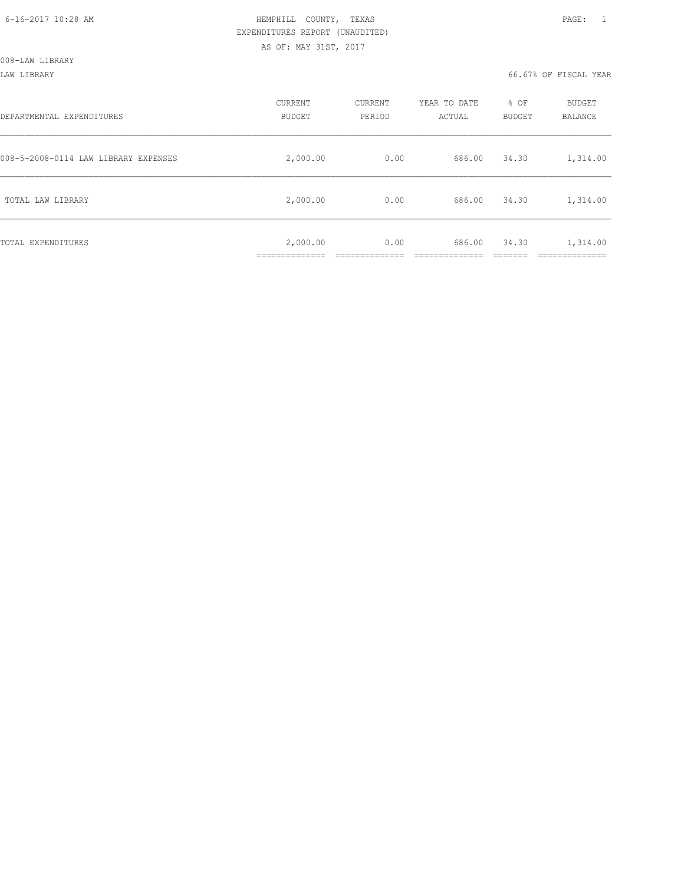| DEPARTMENTAL EXPENDITURES            | CURRENT<br><b>BUDGET</b>       | CURRENT<br>PERIOD | YEAR TO DATE<br>ACTUAL | % OF<br><b>BUDGET</b> | <b>BUDGET</b><br><b>BALANCE</b> |
|--------------------------------------|--------------------------------|-------------------|------------------------|-----------------------|---------------------------------|
| 008-5-2008-0114 LAW LIBRARY EXPENSES | 2,000.00                       | 0.00              | 686.00                 | 34.30                 | 1,314.00                        |
| TOTAL LAW LIBRARY                    | 2,000.00                       | 0.00              | 686.00                 | 34.30                 | 1,314.00                        |
| TOTAL EXPENDITURES                   | 2,000.00<br>-------------<br>. | 0.00              | 686.00                 | 34.30                 | 1,314.00<br>________            |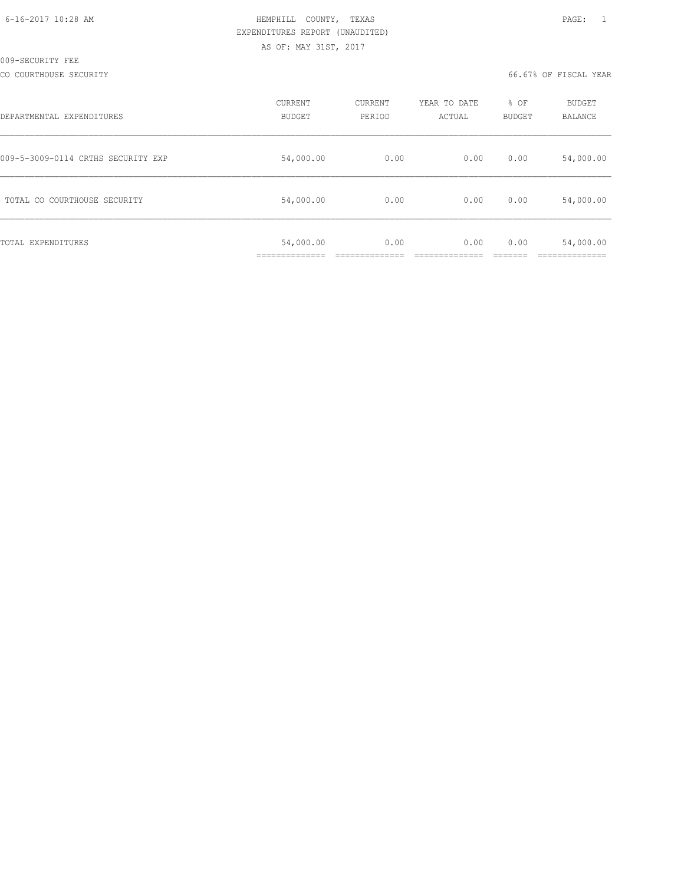| 6-16-2017 10:28 AM |  |
|--------------------|--|
|                    |  |

# HEMPHILL COUNTY, TEXAS **Example 20:28 AM HEMPHILL** COUNTY, TEXAS EXPENDITURES REPORT (UNAUDITED) AS OF: MAY 31ST, 2017

CO COURTHOUSE SECURITY CONTROLLED TO A SECURITY CONTROLLER SECURITY OF FISCAL YEAR

| DEPARTMENTAL EXPENDITURES          | CURRENT<br><b>BUDGET</b>                    | CURRENT<br>PERIOD | YEAR TO DATE<br>ACTUAL | % OF<br><b>BUDGET</b> | <b>BUDGET</b><br>BALANCE |
|------------------------------------|---------------------------------------------|-------------------|------------------------|-----------------------|--------------------------|
| 009-5-3009-0114 CRTHS SECURITY EXP | 54,000.00                                   | 0.00              | 0.00                   | 0.00                  | 54,000.00                |
| TOTAL CO COURTHOUSE SECURITY       | 54,000.00                                   | 0.00              | 0.00                   | 0.00                  | 54,000.00                |
| TOTAL EXPENDITURES                 | 54,000.00<br>------------<br>______________ | 0.00              | 0.00                   | 0.00                  | 54,000.00                |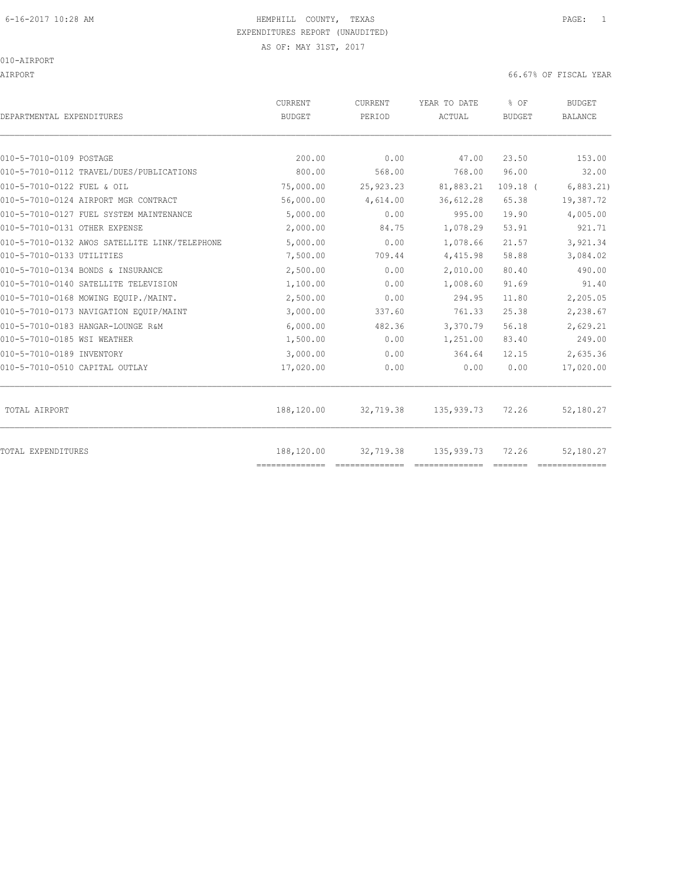AS OF: MAY 31ST, 2017

010-AIRPORT

AIRPORT 66.67% OF FISCAL YEAR

| DEPARTMENTAL EXPENDITURES                     | <b>CURRENT</b><br><b>BUDGET</b> | CURRENT<br>PERIOD | YEAR TO DATE<br>ACTUAL | % OF<br><b>BUDGET</b> | <b>BUDGET</b><br><b>BALANCE</b> |
|-----------------------------------------------|---------------------------------|-------------------|------------------------|-----------------------|---------------------------------|
|                                               |                                 |                   |                        |                       |                                 |
| 010-5-7010-0109 POSTAGE                       | 200.00                          | 0.00              | 47.00                  | 23.50                 | 153.00                          |
| 010-5-7010-0112 TRAVEL/DUES/PUBLICATIONS      | 800.00                          | 568.00            | 768.00                 | 96.00                 | 32.00                           |
| 010-5-7010-0122 FUEL & OIL                    | 75,000.00                       | 25,923.23         | 81,883.21              | $109.18$ (            | 6,883.21)                       |
| 010-5-7010-0124 AIRPORT MGR CONTRACT          | 56,000.00                       | 4,614.00          | 36,612.28              | 65.38                 | 19,387.72                       |
| 010-5-7010-0127 FUEL SYSTEM MAINTENANCE       | 5,000.00                        | 0.00              | 995.00                 | 19.90                 | 4,005.00                        |
| 010-5-7010-0131 OTHER EXPENSE                 | 2,000.00                        | 84.75             | 1,078.29               | 53.91                 | 921.71                          |
| 010-5-7010-0132 AWOS SATELLITE LINK/TELEPHONE | 5,000.00                        | 0.00              | 1,078.66               | 21.57                 | 3,921.34                        |
| 010-5-7010-0133 UTILITIES                     | 7,500.00                        | 709.44            | 4,415.98               | 58.88                 | 3,084.02                        |
| 010-5-7010-0134 BONDS & INSURANCE             | 2,500.00                        | 0.00              | 2,010.00               | 80.40                 | 490.00                          |
| 010-5-7010-0140 SATELLITE TELEVISION          | 1,100.00                        | 0.00              | 1,008.60               | 91.69                 | 91.40                           |
| 010-5-7010-0168 MOWING EQUIP./MAINT.          | 2,500.00                        | 0.00              | 294.95                 | 11.80                 | 2,205.05                        |
| 010-5-7010-0173 NAVIGATION EOUIP/MAINT        | 3,000.00                        | 337.60            | 761.33                 | 25.38                 | 2,238.67                        |
| 010-5-7010-0183 HANGAR-LOUNGE R&M             | 6.000.00                        | 482.36            | 3,370.79               | 56.18                 | 2,629.21                        |
| 010-5-7010-0185 WSI WEATHER                   | 1,500.00                        | 0.00              | 1,251.00               | 83.40                 | 249.00                          |
| 010-5-7010-0189 INVENTORY                     | 3,000.00                        | 0.00              | 364.64                 | 12.15                 | 2,635.36                        |
| 010-5-7010-0510 CAPITAL OUTLAY                | 17,020.00                       | 0.00              | 0.00                   | 0.00                  | 17,020.00                       |
| TOTAL AIRPORT                                 | 188,120.00                      | 32,719.38         | 135,939.73             | 72.26                 | 52,180.27                       |
| <b>TOTAL EXPENDITURES</b>                     | 188,120.00<br>==============    | 32,719.38         | 135,939.73             | 72.26                 | 52,180.27                       |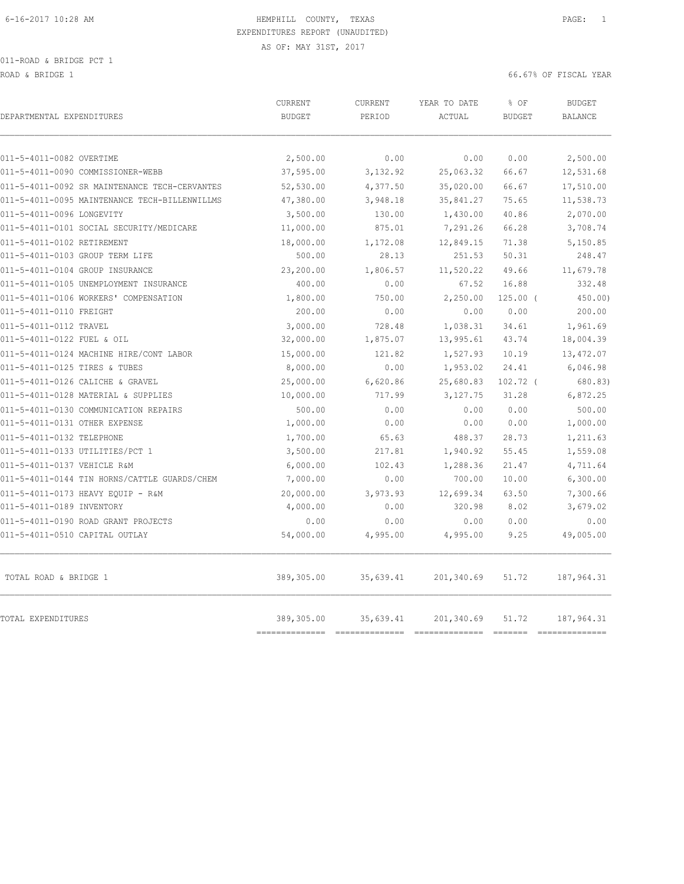011-ROAD & BRIDGE PCT 1

ROAD & BRIDGE 1 66.67% OF FISCAL YEAR (1999) AND ROAD & SOLUTION OF SALES AND ROAD & SOLUTION OF SOLUTION OF SOLUTION OF SALES AND RESOLUTION OF SOLUTION OF SOLUTION OF SOLUTION OF SOLUTION OF SOLUTION OF SOLUTION OF SOLUT

| DEPARTMENTAL EXPENDITURES                     | <b>CURRENT</b><br><b>BUDGET</b> | CURRENT<br>PERIOD | YEAR TO DATE<br>ACTUAL | % OF<br><b>BUDGET</b> | <b>BUDGET</b><br><b>BALANCE</b> |
|-----------------------------------------------|---------------------------------|-------------------|------------------------|-----------------------|---------------------------------|
| 011-5-4011-0082 OVERTIME                      | 2,500.00                        | 0.00              | 0.00                   | 0.00                  | 2,500.00                        |
| 011-5-4011-0090 COMMISSIONER-WEBB             | 37,595.00                       | 3,132.92          | 25,063.32              | 66.67                 | 12,531.68                       |
| 011-5-4011-0092 SR MAINTENANCE TECH-CERVANTES | 52,530.00                       | 4,377.50          | 35,020.00              | 66.67                 | 17,510.00                       |
| 011-5-4011-0095 MAINTENANCE TECH-BILLENWILLMS | 47,380.00                       | 3,948.18          | 35,841.27              | 75.65                 | 11,538.73                       |
| 011-5-4011-0096 LONGEVITY                     | 3,500.00                        | 130.00            | 1,430.00               | 40.86                 | 2,070.00                        |
| 011-5-4011-0101 SOCIAL SECURITY/MEDICARE      | 11,000.00                       | 875.01            | 7,291.26               | 66.28                 | 3,708.74                        |
| 011-5-4011-0102 RETIREMENT                    | 18,000.00                       | 1,172.08          | 12,849.15              | 71.38                 | 5,150.85                        |
| 011-5-4011-0103 GROUP TERM LIFE               | 500.00                          | 28.13             | 251.53                 | 50.31                 | 248.47                          |
| 011-5-4011-0104 GROUP INSURANCE               | 23,200.00                       | 1,806.57          | 11,520.22              | 49.66                 | 11,679.78                       |
| 011-5-4011-0105 UNEMPLOYMENT INSURANCE        | 400.00                          | 0.00              | 67.52                  | 16.88                 | 332.48                          |
| 011-5-4011-0106 WORKERS' COMPENSATION         | 1,800.00                        | 750.00            | 2,250.00               | $125.00$ (            | 450.00)                         |
| 011-5-4011-0110 FREIGHT                       | 200.00                          | 0.00              | 0.00                   | 0.00                  | 200.00                          |
| 011-5-4011-0112 TRAVEL                        | 3,000.00                        | 728.48            | 1,038.31               | 34.61                 | 1,961.69                        |
| 011-5-4011-0122 FUEL & OIL                    | 32,000.00                       | 1,875.07          | 13,995.61              | 43.74                 | 18,004.39                       |
| 011-5-4011-0124 MACHINE HIRE/CONT LABOR       | 15,000.00                       | 121.82            | 1,527.93               | 10.19                 | 13,472.07                       |
| 011-5-4011-0125 TIRES & TUBES                 | 8,000.00                        | 0.00              | 1,953.02               | 24.41                 | 6,046.98                        |
| 011-5-4011-0126 CALICHE & GRAVEL              | 25,000.00                       | 6,620.86          | 25,680.83              | $102.72$ (            | 680.83)                         |
| 011-5-4011-0128 MATERIAL & SUPPLIES           | 10,000.00                       | 717.99            | 3, 127. 75             | 31.28                 | 6,872.25                        |
| 011-5-4011-0130 COMMUNICATION REPAIRS         | 500.00                          | 0.00              | 0.00                   | 0.00                  | 500.00                          |
| 011-5-4011-0131 OTHER EXPENSE                 | 1,000.00                        | 0.00              | 0.00                   | 0.00                  | 1,000.00                        |
| 011-5-4011-0132 TELEPHONE                     | 1,700.00                        | 65.63             | 488.37                 | 28.73                 | 1,211.63                        |
| 011-5-4011-0133 UTILITIES/PCT 1               | 3,500.00                        | 217.81            | 1,940.92               | 55.45                 | 1,559.08                        |
| 011-5-4011-0137 VEHICLE R&M                   | 6,000.00                        | 102.43            | 1,288.36               | 21.47                 | 4,711.64                        |
| 011-5-4011-0144 TIN HORNS/CATTLE GUARDS/CHEM  | 7,000.00                        | 0.00              | 700.00                 | 10.00                 | 6,300.00                        |
| 011-5-4011-0173 HEAVY EOUIP - R&M             | 20,000.00                       | 3,973.93          | 12,699.34              | 63.50                 | 7,300.66                        |
| 011-5-4011-0189 INVENTORY                     | 4,000.00                        | 0.00              | 320.98                 | 8.02                  | 3,679.02                        |
| 011-5-4011-0190 ROAD GRANT PROJECTS           | 0.00                            | 0.00              | 0.00                   | 0.00                  | 0.00                            |
| 011-5-4011-0510 CAPITAL OUTLAY                | 54,000.00                       | 4,995.00          | 4,995.00               | 9.25                  | 49,005.00                       |
| TOTAL ROAD & BRIDGE 1                         | 389,305.00                      | 35,639.41         | 201,340.69             | 51.72                 | 187,964.31                      |
| <b>TOTAL EXPENDITURES</b>                     | 389,305.00                      | 35,639.41         | 201,340.69             | 51.72                 | 187,964.31                      |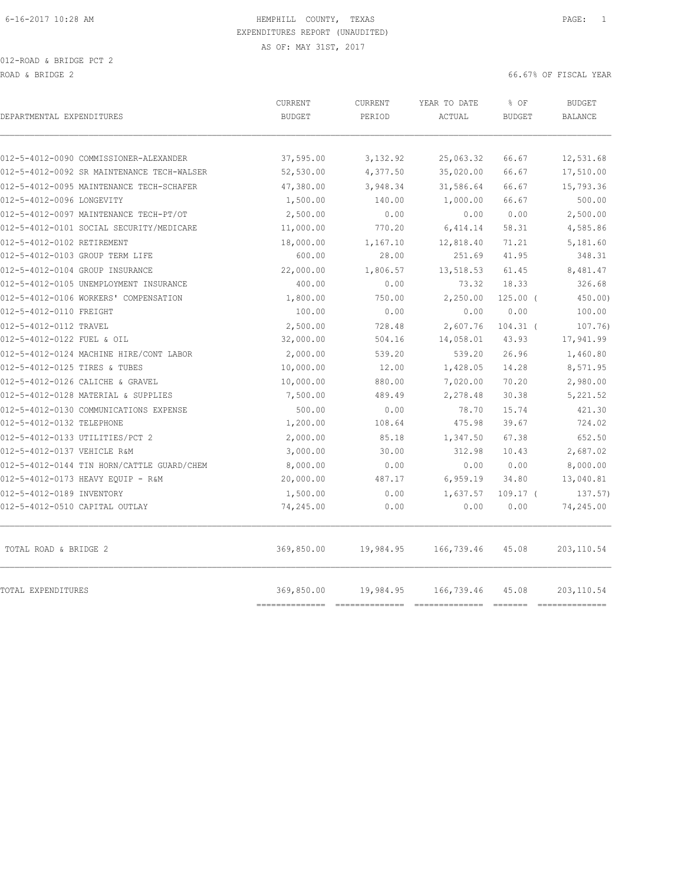012-ROAD & BRIDGE PCT 2 ROAD & BRIDGE 2 66.67% OF FISCAL YEAR (1999) AND ROAD & SOLUTION OF SALES AND ROAD & SOLUTION OF SOLUTION OF SOLUTION OF SALES AND RESOLUTION OF SOLUTION OF SOLUTION OF SOLUTION OF SOLUTION OF SOLUTION OF SOLUTION OF SOLUT

|                                            | <b>CURRENT</b>               | CURRENT   | YEAR TO DATE | % OF          | <b>BUDGET</b>                 |
|--------------------------------------------|------------------------------|-----------|--------------|---------------|-------------------------------|
| DEPARTMENTAL EXPENDITURES                  | <b>BUDGET</b>                | PERIOD    | ACTUAL       | <b>BUDGET</b> | <b>BALANCE</b>                |
|                                            |                              |           |              |               |                               |
| 012-5-4012-0090 COMMISSIONER-ALEXANDER     | 37,595.00                    | 3,132.92  | 25,063.32    | 66.67         | 12,531.68                     |
| 012-5-4012-0092 SR MAINTENANCE TECH-WALSER | 52,530.00                    | 4,377.50  | 35,020.00    | 66.67         | 17,510.00                     |
| 012-5-4012-0095 MAINTENANCE TECH-SCHAFER   | 47,380.00                    | 3,948.34  | 31,586.64    | 66.67         | 15,793.36                     |
| 012-5-4012-0096 LONGEVITY                  | 1,500.00                     | 140.00    | 1,000.00     | 66.67         | 500.00                        |
| 012-5-4012-0097 MAINTENANCE TECH-PT/OT     | 2,500.00                     | 0.00      | 0.00         | 0.00          | 2,500.00                      |
| 012-5-4012-0101 SOCIAL SECURITY/MEDICARE   | 11,000.00                    | 770.20    | 6,414.14     | 58.31         | 4,585.86                      |
| 012-5-4012-0102 RETIREMENT                 | 18,000.00                    | 1,167.10  | 12,818.40    | 71.21         | 5,181.60                      |
| 012-5-4012-0103 GROUP TERM LIFE            | 600.00                       | 28.00     | 251.69       | 41.95         | 348.31                        |
| 012-5-4012-0104 GROUP INSURANCE            | 22,000.00                    | 1,806.57  | 13,518.53    | 61.45         | 8,481.47                      |
| 012-5-4012-0105 UNEMPLOYMENT INSURANCE     | 400.00                       | 0.00      | 73.32        | 18.33         | 326.68                        |
| 012-5-4012-0106 WORKERS' COMPENSATION      | 1,800.00                     | 750.00    | 2,250.00     | $125.00$ (    | 450.00)                       |
| 012-5-4012-0110 FREIGHT                    | 100.00                       | 0.00      | 0.00         | 0.00          | 100.00                        |
| 012-5-4012-0112 TRAVEL                     | 2,500.00                     | 728.48    | 2,607.76     | $104.31$ (    | 107.76)                       |
| 012-5-4012-0122 FUEL & OIL                 | 32,000.00                    | 504.16    | 14,058.01    | 43.93         | 17,941.99                     |
| 012-5-4012-0124 MACHINE HIRE/CONT LABOR    | 2,000.00                     | 539.20    | 539.20       | 26.96         | 1,460.80                      |
| 012-5-4012-0125 TIRES & TUBES              | 10,000.00                    | 12.00     | 1,428.05     | 14.28         | 8,571.95                      |
| 012-5-4012-0126 CALICHE & GRAVEL           | 10,000.00                    | 880.00    | 7,020.00     | 70.20         | 2,980.00                      |
| 012-5-4012-0128 MATERIAL & SUPPLIES        | 7,500.00                     | 489.49    | 2,278.48     | 30.38         | 5,221.52                      |
| 012-5-4012-0130 COMMUNICATIONS EXPENSE     | 500.00                       | 0.00      | 78.70        | 15.74         | 421.30                        |
| 012-5-4012-0132 TELEPHONE                  | 1,200.00                     | 108.64    | 475.98       | 39.67         | 724.02                        |
| 012-5-4012-0133 UTILITIES/PCT 2            | 2,000.00                     | 85.18     | 1,347.50     | 67.38         | 652.50                        |
| 012-5-4012-0137 VEHICLE R&M                | 3,000.00                     | 30.00     | 312.98       | 10.43         | 2,687.02                      |
| 012-5-4012-0144 TIN HORN/CATTLE GUARD/CHEM | 8,000.00                     | 0.00      | 0.00         | 0.00          | 8,000.00                      |
| 012-5-4012-0173 HEAVY EQUIP - R&M          | 20,000.00                    | 487.17    | 6,959.19     | 34.80         | 13,040.81                     |
| 012-5-4012-0189 INVENTORY                  | 1,500.00                     | 0.00      | 1,637.57     | $109.17$ (    | 137.57)                       |
| 012-5-4012-0510 CAPITAL OUTLAY             | 74,245.00                    | 0.00      | 0.00         | 0.00          | 74,245.00                     |
| TOTAL ROAD & BRIDGE 2                      | 369,850.00                   | 19,984.95 | 166,739.46   | 45.08         | 203, 110.54                   |
| TOTAL EXPENDITURES                         | 369,850.00<br>-------------- | 19,984.95 | 166,739.46   | 45.08         | 203,110.54<br>--------------- |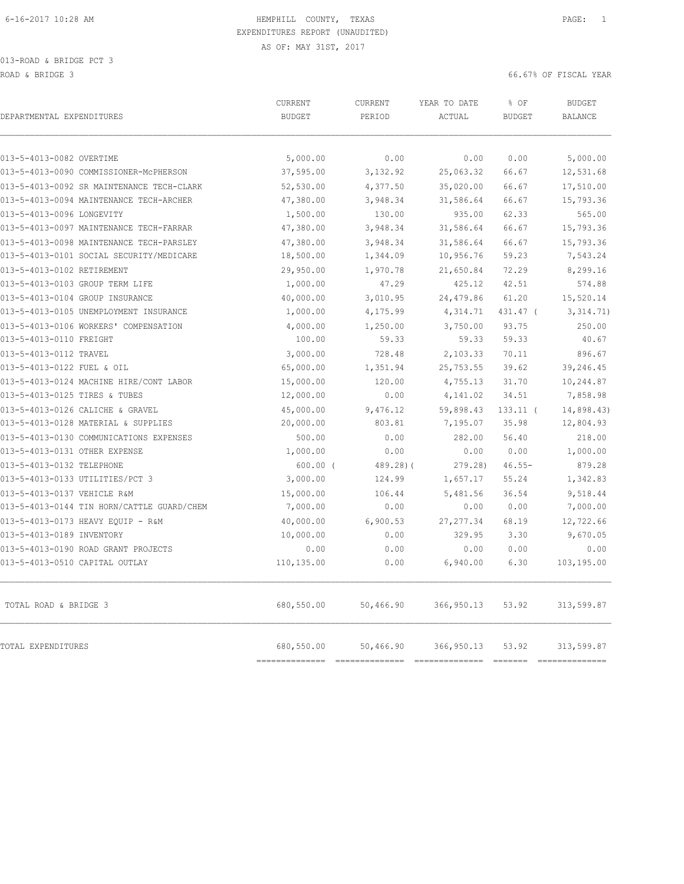| DEPARTMENTAL EXPENDITURES                  | CURRENT<br><b>BUDGET</b>     | CURRENT<br>PERIOD           | YEAR TO DATE<br>ACTUAL         | % OF<br><b>BUDGET</b>                                                                                                                                                                                                                                                                                                                                                                                                                                                                           | <b>BUDGET</b><br><b>BALANCE</b> |
|--------------------------------------------|------------------------------|-----------------------------|--------------------------------|-------------------------------------------------------------------------------------------------------------------------------------------------------------------------------------------------------------------------------------------------------------------------------------------------------------------------------------------------------------------------------------------------------------------------------------------------------------------------------------------------|---------------------------------|
| 013-5-4013-0082 OVERTIME                   | 5,000.00                     | 0.00                        | 0.00                           | 0.00                                                                                                                                                                                                                                                                                                                                                                                                                                                                                            | 5,000.00                        |
| 013-5-4013-0090 COMMISSIONER-MCPHERSON     | 37,595.00                    | 3,132.92                    | 25,063.32                      | 66.67                                                                                                                                                                                                                                                                                                                                                                                                                                                                                           | 12,531.68                       |
| 013-5-4013-0092 SR MAINTENANCE TECH-CLARK  | 52,530.00                    | 4,377.50                    | 35,020.00                      | 66.67                                                                                                                                                                                                                                                                                                                                                                                                                                                                                           | 17,510.00                       |
| 013-5-4013-0094 MAINTENANCE TECH-ARCHER    | 47,380.00                    | 3,948.34                    | 31,586.64                      | 66.67                                                                                                                                                                                                                                                                                                                                                                                                                                                                                           | 15,793.36                       |
| 013-5-4013-0096 LONGEVITY                  | 1,500.00                     | 130.00                      | 935.00                         | 62.33                                                                                                                                                                                                                                                                                                                                                                                                                                                                                           | 565.00                          |
| 013-5-4013-0097 MAINTENANCE TECH-FARRAR    | 47,380.00                    | 3,948.34                    | 31,586.64                      | 66.67                                                                                                                                                                                                                                                                                                                                                                                                                                                                                           | 15,793.36                       |
| 013-5-4013-0098 MAINTENANCE TECH-PARSLEY   | 47,380.00                    | 3,948.34                    | 31,586.64                      | 66.67                                                                                                                                                                                                                                                                                                                                                                                                                                                                                           | 15,793.36                       |
| 013-5-4013-0101 SOCIAL SECURITY/MEDICARE   | 18,500.00                    | 1,344.09                    | 10,956.76                      | 59.23                                                                                                                                                                                                                                                                                                                                                                                                                                                                                           | 7,543.24                        |
| 013-5-4013-0102 RETIREMENT                 | 29,950.00                    | 1,970.78                    | 21,650.84                      | 72.29                                                                                                                                                                                                                                                                                                                                                                                                                                                                                           | 8,299.16                        |
| 013-5-4013-0103 GROUP TERM LIFE            | 1,000.00                     | 47.29                       | 425.12                         | 42.51                                                                                                                                                                                                                                                                                                                                                                                                                                                                                           | 574.88                          |
| 013-5-4013-0104 GROUP INSURANCE            | 40,000.00                    | 3,010.95                    | 24,479.86                      | 61.20                                                                                                                                                                                                                                                                                                                                                                                                                                                                                           | 15,520.14                       |
| 013-5-4013-0105 UNEMPLOYMENT INSURANCE     | 1,000.00                     | 4,175.99                    | 4,314.71                       | 431.47 (                                                                                                                                                                                                                                                                                                                                                                                                                                                                                        | 3,314.71)                       |
| 013-5-4013-0106 WORKERS' COMPENSATION      | 4,000.00                     | 1,250.00                    | 3,750.00                       | 93.75                                                                                                                                                                                                                                                                                                                                                                                                                                                                                           | 250.00                          |
| 013-5-4013-0110 FREIGHT                    | 100.00                       | 59.33                       | 59.33                          | 59.33                                                                                                                                                                                                                                                                                                                                                                                                                                                                                           | 40.67                           |
| 013-5-4013-0112 TRAVEL                     | 3,000.00                     | 728.48                      | 2,103.33                       | 70.11                                                                                                                                                                                                                                                                                                                                                                                                                                                                                           | 896.67                          |
| 013-5-4013-0122 FUEL & OIL                 | 65,000.00                    | 1,351.94                    | 25,753.55                      | 39.62                                                                                                                                                                                                                                                                                                                                                                                                                                                                                           | 39,246.45                       |
| 013-5-4013-0124 MACHINE HIRE/CONT LABOR    | 15,000.00                    | 120.00                      | 4,755.13                       | 31.70                                                                                                                                                                                                                                                                                                                                                                                                                                                                                           | 10,244.87                       |
| 013-5-4013-0125 TIRES & TUBES              | 12,000.00                    | 0.00                        | 4,141.02                       | 34.51                                                                                                                                                                                                                                                                                                                                                                                                                                                                                           | 7,858.98                        |
| 013-5-4013-0126 CALICHE & GRAVEL           | 45,000.00                    | 9,476.12                    | 59,898.43                      | $133.11$ (                                                                                                                                                                                                                                                                                                                                                                                                                                                                                      | 14,898.43)                      |
| 013-5-4013-0128 MATERIAL & SUPPLIES        | 20,000.00                    | 803.81                      | 7,195.07                       | 35.98                                                                                                                                                                                                                                                                                                                                                                                                                                                                                           | 12,804.93                       |
| 013-5-4013-0130 COMMUNICATIONS EXPENSES    | 500.00                       | 0.00                        | 282.00                         | 56.40                                                                                                                                                                                                                                                                                                                                                                                                                                                                                           | 218.00                          |
| 013-5-4013-0131 OTHER EXPENSE              | 1,000.00                     | 0.00                        | 0.00                           | 0.00                                                                                                                                                                                                                                                                                                                                                                                                                                                                                            | 1,000.00                        |
| 013-5-4013-0132 TELEPHONE                  | $600.00$ (                   | $489.28$ ) (                | 279.28)                        | $46.55 -$                                                                                                                                                                                                                                                                                                                                                                                                                                                                                       | 879.28                          |
| 013-5-4013-0133 UTILITIES/PCT 3            | 3,000.00                     | 124.99                      | 1,657.17                       | 55.24                                                                                                                                                                                                                                                                                                                                                                                                                                                                                           | 1,342.83                        |
| 013-5-4013-0137 VEHICLE R&M                | 15,000.00                    | 106.44                      | 5,481.56                       | 36.54                                                                                                                                                                                                                                                                                                                                                                                                                                                                                           | 9,518.44                        |
| 013-5-4013-0144 TIN HORN/CATTLE GUARD/CHEM | 7,000.00                     | 0.00                        | 0.00                           | 0.00                                                                                                                                                                                                                                                                                                                                                                                                                                                                                            | 7,000.00                        |
| 013-5-4013-0173 HEAVY EQUIP - R&M          | 40,000.00                    | 6,900.53                    | 27, 277.34                     | 68.19                                                                                                                                                                                                                                                                                                                                                                                                                                                                                           | 12,722.66                       |
| 013-5-4013-0189 INVENTORY                  | 10,000.00                    | 0.00                        | 329.95                         | 3.30                                                                                                                                                                                                                                                                                                                                                                                                                                                                                            | 9,670.05                        |
| 013-5-4013-0190 ROAD GRANT PROJECTS        | 0.00                         | 0.00                        | 0.00                           | 0.00                                                                                                                                                                                                                                                                                                                                                                                                                                                                                            | 0.00                            |
| 013-5-4013-0510 CAPITAL OUTLAY             | 110,135.00                   | 0.00                        | 6,940.00                       | 6.30                                                                                                                                                                                                                                                                                                                                                                                                                                                                                            | 103,195.00                      |
| TOTAL ROAD & BRIDGE 3                      | 680,550.00                   | 50,466.90                   | 366,950.13                     | 53.92                                                                                                                                                                                                                                                                                                                                                                                                                                                                                           | 313,599.87                      |
| TOTAL EXPENDITURES                         | 680,550.00<br>============== | 50,466.90<br>============== | 366, 950.13<br>--------------- | 53.92<br>$\begin{array}{cccccccccc} \multicolumn{2}{c}{} & \multicolumn{2}{c}{} & \multicolumn{2}{c}{} & \multicolumn{2}{c}{} & \multicolumn{2}{c}{} & \multicolumn{2}{c}{} & \multicolumn{2}{c}{} & \multicolumn{2}{c}{} & \multicolumn{2}{c}{} & \multicolumn{2}{c}{} & \multicolumn{2}{c}{} & \multicolumn{2}{c}{} & \multicolumn{2}{c}{} & \multicolumn{2}{c}{} & \multicolumn{2}{c}{} & \multicolumn{2}{c}{} & \multicolumn{2}{c}{} & \multicolumn{2}{c}{} & \multicolumn{2}{c}{} & \mult$ | 313,599.87<br>--------------    |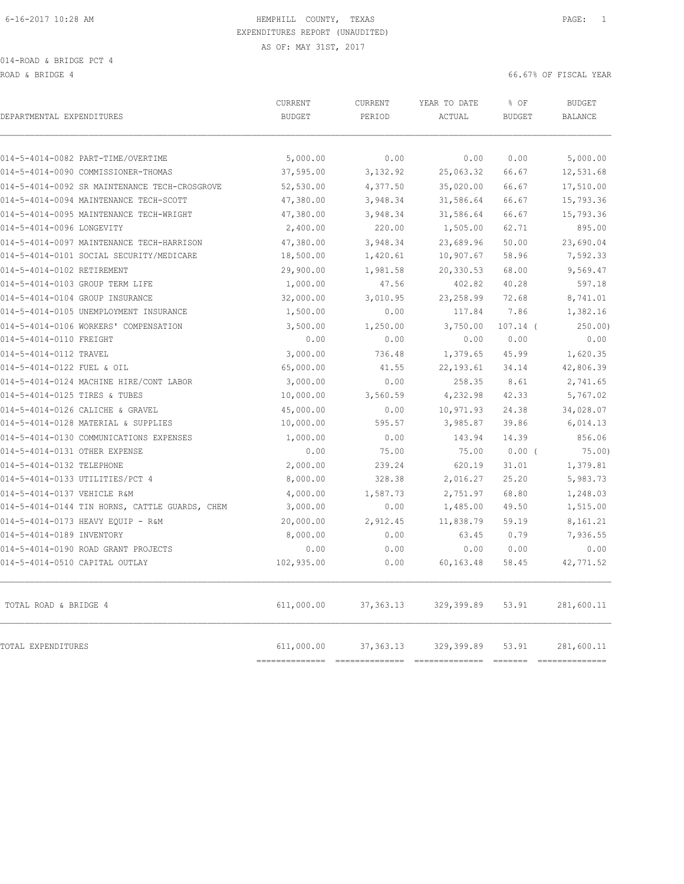014-ROAD & BRIDGE PCT 4

ROAD & BRIDGE 4 66.67% OF FISCAL YEAR

| 014-5-4014-0082 PART-TIME/OVERTIME<br>5,000.00<br>0.00<br>014-5-4014-0090 COMMISSIONER-THOMAS<br>37,595.00<br>3,132.92<br>014-5-4014-0092 SR MAINTENANCE TECH-CROSGROVE<br>52,530.00<br>4,377.50 | 0.00<br>25,063.32<br>35,020.00<br>31,586.64<br>31,586.64<br>1,505.00 | 0.00<br>66.67<br>66.67<br>66.67                                                                                                                                                                                                                                                                                                                                                                                                                                                                 | 5,000.00<br>12,531.68<br>17,510.00 |
|--------------------------------------------------------------------------------------------------------------------------------------------------------------------------------------------------|----------------------------------------------------------------------|-------------------------------------------------------------------------------------------------------------------------------------------------------------------------------------------------------------------------------------------------------------------------------------------------------------------------------------------------------------------------------------------------------------------------------------------------------------------------------------------------|------------------------------------|
|                                                                                                                                                                                                  |                                                                      |                                                                                                                                                                                                                                                                                                                                                                                                                                                                                                 |                                    |
|                                                                                                                                                                                                  |                                                                      |                                                                                                                                                                                                                                                                                                                                                                                                                                                                                                 |                                    |
|                                                                                                                                                                                                  |                                                                      |                                                                                                                                                                                                                                                                                                                                                                                                                                                                                                 |                                    |
| 014-5-4014-0094 MAINTENANCE TECH-SCOTT<br>47,380.00<br>3,948.34                                                                                                                                  |                                                                      |                                                                                                                                                                                                                                                                                                                                                                                                                                                                                                 | 15,793.36                          |
| 014-5-4014-0095 MAINTENANCE TECH-WRIGHT<br>47,380.00<br>3,948.34                                                                                                                                 |                                                                      | 66.67                                                                                                                                                                                                                                                                                                                                                                                                                                                                                           | 15,793.36                          |
| 2,400.00<br>220.00<br>014-5-4014-0096 LONGEVITY                                                                                                                                                  |                                                                      | 62.71                                                                                                                                                                                                                                                                                                                                                                                                                                                                                           | 895.00                             |
| 014-5-4014-0097 MAINTENANCE TECH-HARRISON<br>47,380.00<br>3,948.34                                                                                                                               | 23,689.96                                                            | 50.00                                                                                                                                                                                                                                                                                                                                                                                                                                                                                           | 23,690.04                          |
| 18,500.00<br>014-5-4014-0101 SOCIAL SECURITY/MEDICARE<br>1,420.61                                                                                                                                | 10,907.67                                                            | 58.96                                                                                                                                                                                                                                                                                                                                                                                                                                                                                           | 7,592.33                           |
| 014-5-4014-0102 RETIREMENT<br>29,900.00<br>1,981.58                                                                                                                                              | 20,330.53                                                            | 68.00                                                                                                                                                                                                                                                                                                                                                                                                                                                                                           | 9,569.47                           |
| 014-5-4014-0103 GROUP TERM LIFE<br>1,000.00<br>47.56                                                                                                                                             | 402.82                                                               | 40.28                                                                                                                                                                                                                                                                                                                                                                                                                                                                                           | 597.18                             |
| 32,000.00<br>014-5-4014-0104 GROUP INSURANCE<br>3,010.95                                                                                                                                         | 23, 258.99                                                           | 72.68                                                                                                                                                                                                                                                                                                                                                                                                                                                                                           | 8,741.01                           |
| 014-5-4014-0105 UNEMPLOYMENT INSURANCE<br>1,500.00<br>0.00                                                                                                                                       | 117.84                                                               | 7.86                                                                                                                                                                                                                                                                                                                                                                                                                                                                                            | 1,382.16                           |
| 014-5-4014-0106 WORKERS' COMPENSATION<br>3,500.00<br>1,250.00                                                                                                                                    | 3,750.00                                                             | $107.14$ (                                                                                                                                                                                                                                                                                                                                                                                                                                                                                      | 250.00                             |
| 014-5-4014-0110 FREIGHT<br>0.00<br>0.00                                                                                                                                                          | 0.00                                                                 | 0.00                                                                                                                                                                                                                                                                                                                                                                                                                                                                                            | 0.00                               |
| 014-5-4014-0112 TRAVEL<br>3,000.00<br>736.48                                                                                                                                                     | 1,379.65                                                             | 45.99                                                                                                                                                                                                                                                                                                                                                                                                                                                                                           | 1,620.35                           |
| 014-5-4014-0122 FUEL & OIL<br>65,000.00<br>41.55                                                                                                                                                 | 22, 193.61                                                           | 34.14                                                                                                                                                                                                                                                                                                                                                                                                                                                                                           | 42,806.39                          |
| 014-5-4014-0124 MACHINE HIRE/CONT LABOR<br>3,000.00<br>0.00                                                                                                                                      | 258.35                                                               | 8.61                                                                                                                                                                                                                                                                                                                                                                                                                                                                                            | 2,741.65                           |
| 014-5-4014-0125 TIRES & TUBES<br>10,000.00<br>3,560.59                                                                                                                                           | 4,232.98                                                             | 42.33                                                                                                                                                                                                                                                                                                                                                                                                                                                                                           | 5,767.02                           |
| 014-5-4014-0126 CALICHE & GRAVEL<br>45,000.00<br>0.00                                                                                                                                            | 10,971.93                                                            | 24.38                                                                                                                                                                                                                                                                                                                                                                                                                                                                                           | 34,028.07                          |
| 014-5-4014-0128 MATERIAL & SUPPLIES<br>10,000.00<br>595.57                                                                                                                                       | 3,985.87                                                             | 39.86                                                                                                                                                                                                                                                                                                                                                                                                                                                                                           | 6,014.13                           |
| 1,000.00<br>0.00<br>014-5-4014-0130 COMMUNICATIONS EXPENSES                                                                                                                                      | 143.94                                                               | 14.39                                                                                                                                                                                                                                                                                                                                                                                                                                                                                           | 856.06                             |
| 75.00<br>014-5-4014-0131 OTHER EXPENSE<br>0.00                                                                                                                                                   | 75.00                                                                | $0.00$ (                                                                                                                                                                                                                                                                                                                                                                                                                                                                                        | 75.00)                             |
| 2,000.00<br>239.24<br>014-5-4014-0132 TELEPHONE                                                                                                                                                  | 620.19                                                               | 31.01                                                                                                                                                                                                                                                                                                                                                                                                                                                                                           | 1,379.81                           |
| 014-5-4014-0133 UTILITIES/PCT 4<br>8,000.00<br>328.38                                                                                                                                            | 2,016.27                                                             | 25.20                                                                                                                                                                                                                                                                                                                                                                                                                                                                                           | 5,983.73                           |
| 4,000.00<br>014-5-4014-0137 VEHICLE R&M<br>1,587.73                                                                                                                                              | 2,751.97                                                             | 68.80                                                                                                                                                                                                                                                                                                                                                                                                                                                                                           | 1,248.03                           |
| 014-5-4014-0144 TIN HORNS, CATTLE GUARDS, CHEM<br>3,000.00<br>0.00                                                                                                                               | 1,485.00                                                             | 49.50                                                                                                                                                                                                                                                                                                                                                                                                                                                                                           | 1,515.00                           |
| 20,000.00<br>014-5-4014-0173 HEAVY EQUIP - R&M<br>2,912.45                                                                                                                                       | 11,838.79                                                            | 59.19                                                                                                                                                                                                                                                                                                                                                                                                                                                                                           | 8,161.21                           |
| 014-5-4014-0189 INVENTORY<br>8,000.00<br>0.00                                                                                                                                                    | 63.45                                                                | 0.79                                                                                                                                                                                                                                                                                                                                                                                                                                                                                            | 7,936.55                           |
| 014-5-4014-0190 ROAD GRANT PROJECTS<br>0.00<br>0.00                                                                                                                                              | 0.00                                                                 | 0.00                                                                                                                                                                                                                                                                                                                                                                                                                                                                                            | 0.00                               |
| 014-5-4014-0510 CAPITAL OUTLAY<br>102,935.00<br>0.00                                                                                                                                             | 60,163.48                                                            | 58.45                                                                                                                                                                                                                                                                                                                                                                                                                                                                                           | 42,771.52                          |
| 611,000.00<br>37, 363. 13<br>TOTAL ROAD & BRIDGE 4                                                                                                                                               | 329,399.89                                                           | 53.91                                                                                                                                                                                                                                                                                                                                                                                                                                                                                           | 281,600.11                         |
| 611,000.00<br>TOTAL EXPENDITURES<br>37, 363. 13<br>==============                                                                                                                                | 329,399.89<br>==============================                         | 53.91<br>$\begin{array}{cccccccccc} \multicolumn{2}{c}{} & \multicolumn{2}{c}{} & \multicolumn{2}{c}{} & \multicolumn{2}{c}{} & \multicolumn{2}{c}{} & \multicolumn{2}{c}{} & \multicolumn{2}{c}{} & \multicolumn{2}{c}{} & \multicolumn{2}{c}{} & \multicolumn{2}{c}{} & \multicolumn{2}{c}{} & \multicolumn{2}{c}{} & \multicolumn{2}{c}{} & \multicolumn{2}{c}{} & \multicolumn{2}{c}{} & \multicolumn{2}{c}{} & \multicolumn{2}{c}{} & \multicolumn{2}{c}{} & \multicolumn{2}{c}{} & \mult$ | 281,600.11<br>==============       |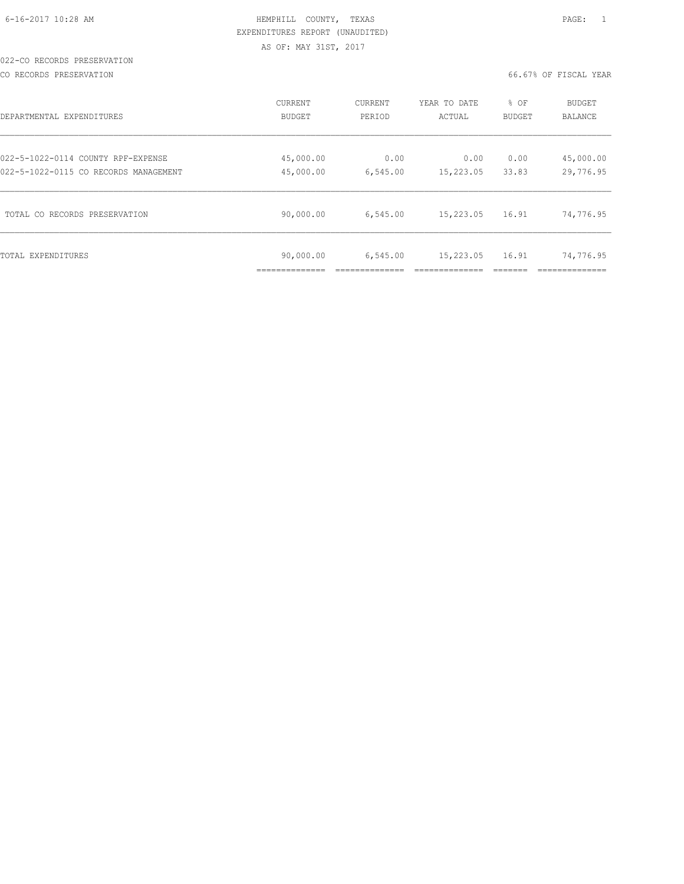|  |  | 6-16-2017 10:28 AM |  |
|--|--|--------------------|--|
|  |  |                    |  |

# HEMPHILL COUNTY, TEXAS **Example 20:28 AM HEMPHILL** COUNTY, TEXAS EXPENDITURES REPORT (UNAUDITED) AS OF: MAY 31ST, 2017

### 022-CO RECORDS PRESERVATION

CO RECORDS PRESERVATION 66.67% OF FISCAL YEAR

| DEPARTMENTAL EXPENDITURES             | CURRENT<br><b>BUDGET</b> | CURRENT<br>PERIOD | YEAR TO DATE<br>ACTUAL | % OF<br>BUDGET | BUDGET<br><b>BALANCE</b> |
|---------------------------------------|--------------------------|-------------------|------------------------|----------------|--------------------------|
| 022-5-1022-0114 COUNTY RPF-EXPENSE    | 45,000.00                | 0.00              | 0.00                   | 0.00           | 45,000.00                |
| 022-5-1022-0115 CO RECORDS MANAGEMENT | 45,000.00                | 6,545.00          | 15,223.05              | 33.83          | 29,776.95                |
| TOTAL CO RECORDS PRESERVATION         | 90,000.00                | 6,545.00          | 15,223.05              | 16.91          | 74,776.95                |
| TOTAL EXPENDITURES                    | 90,000.00                | 6,545.00          | 15,223.05              | 16.91          | 74,776.95                |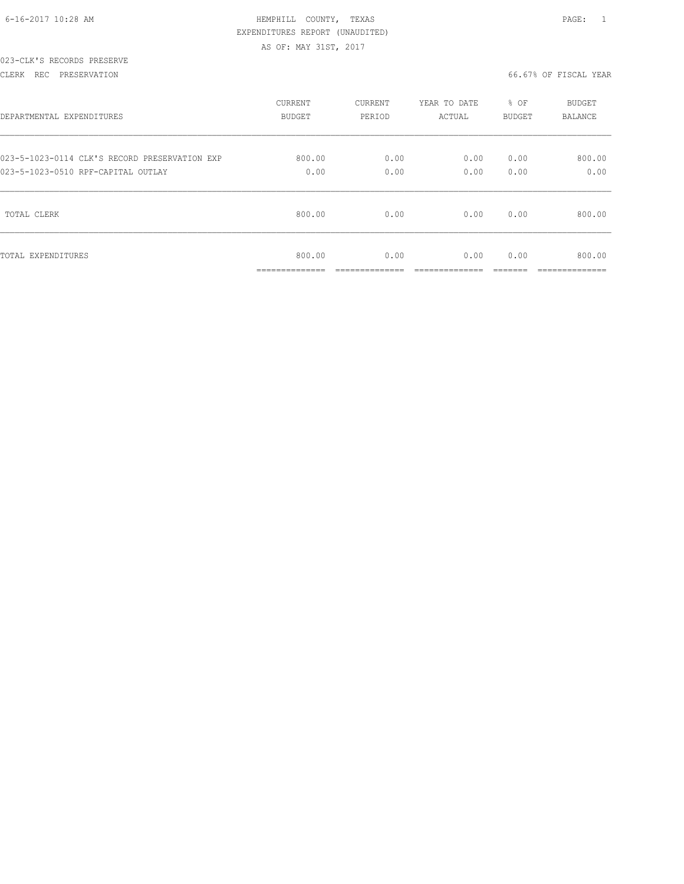|  | 6-16-2017 10:28 AM |  |  |
|--|--------------------|--|--|

# HEMPHILL COUNTY, TEXAS **Example 20:28 AM HEMPHILL** COUNTY, TEXAS EXPENDITURES REPORT (UNAUDITED) AS OF: MAY 31ST, 2017

### 023-CLK'S RECORDS PRESERVE

### CLERK REC PRESERVATION 66.67% OF FISCAL YEAR

| DEPARTMENTAL EXPENDITURES                     | <b>CURRENT</b>                            | CURRENT              | YEAR TO DATE | % OF   | BUDGET                    |
|-----------------------------------------------|-------------------------------------------|----------------------|--------------|--------|---------------------------|
|                                               | <b>BUDGET</b>                             | PERIOD               | ACTUAL       | BUDGET | <b>BALANCE</b>            |
| 023-5-1023-0114 CLK'S RECORD PRESERVATION EXP | 800.00                                    | 0.00                 | 0.00         | 0.00   | 800.00                    |
| 023-5-1023-0510 RPF-CAPITAL OUTLAY            | 0.00                                      | 0.00                 | 0.00         | 0.00   | 0.00                      |
| TOTAL CLERK                                   | 800.00                                    | 0.00                 | 0.00         | 0.00   | 800.00                    |
| TOTAL EXPENDITURES                            | 800.00<br>_____________<br>______________ | 0.00<br>____________ | 0.00         | 0.00   | 800.00<br>--------------- |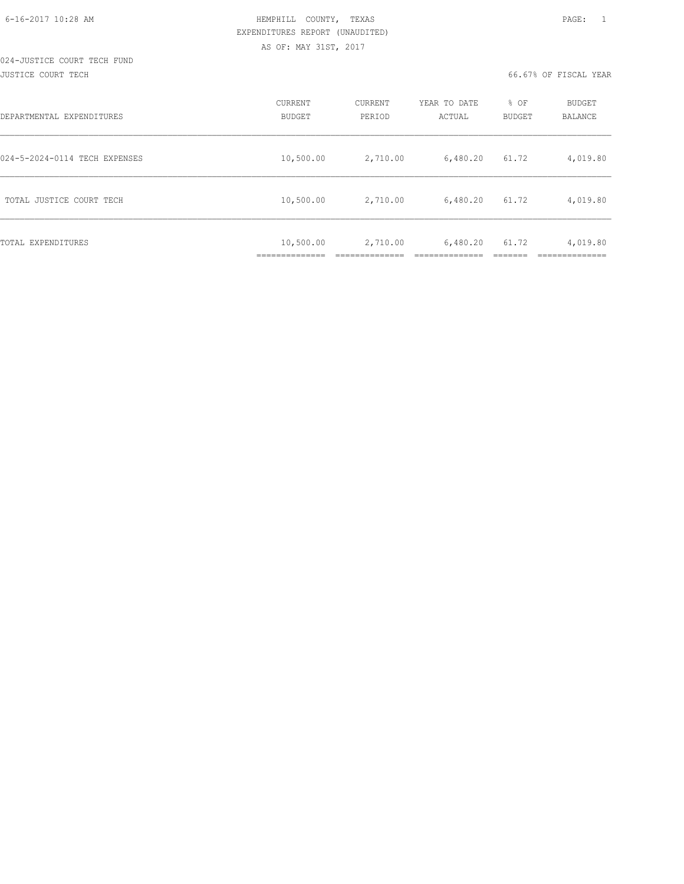### 024-JUSTICE COURT TECH FUND JUSTICE COURT TECH 66.67% OF FISCAL YEAR

| DEPARTMENTAL EXPENDITURES     | <b>CURRENT</b><br><b>BUDGET</b> | CURRENT<br>PERIOD | YEAR TO DATE<br>ACTUAL | % OF<br><b>BUDGET</b> | <b>BUDGET</b><br>BALANCE |
|-------------------------------|---------------------------------|-------------------|------------------------|-----------------------|--------------------------|
| 024-5-2024-0114 TECH EXPENSES | 10,500.00                       | 2,710.00          | 6,480.20               | 61.72                 | 4,019.80                 |
| TOTAL JUSTICE COURT TECH      | 10,500.00                       | 2,710.00          | 6,480.20               | 61.72                 | 4,019.80                 |
| TOTAL EXPENDITURES            | 10,500.00<br>_____________      | 2,710.00          | 6,480.20               | 61.72                 | 4,019.80                 |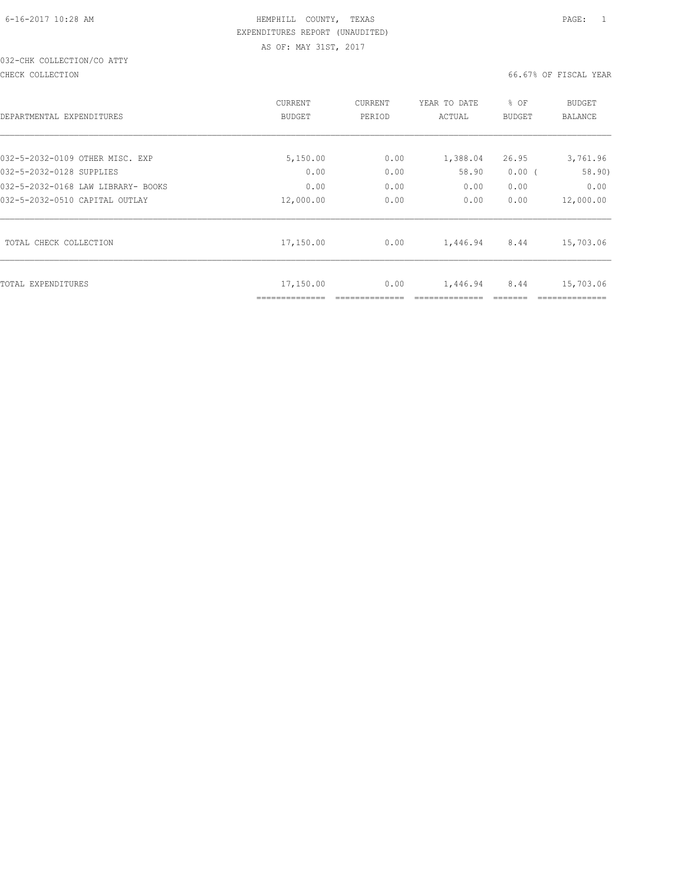# 032-CHK COLLECTION/CO ATTY

CHECK COLLECTION 66.67% OF FISCAL YEAR

| DEPARTMENTAL EXPENDITURES          | CURRENT<br><b>BUDGET</b> | CURRENT<br>PERIOD | YEAR TO DATE<br>ACTUAL | % OF<br>BUDGET | <b>BUDGET</b><br><b>BALANCE</b> |
|------------------------------------|--------------------------|-------------------|------------------------|----------------|---------------------------------|
| 032-5-2032-0109 OTHER MISC. EXP    | 5,150.00                 | 0.00              | 1,388.04               | 26.95          | 3,761.96                        |
| 032-5-2032-0128 SUPPLIES           | 0.00                     | 0.00              | 58.90                  | 0.00(          | 58.90)                          |
| 032-5-2032-0168 LAW LIBRARY- BOOKS | 0.00                     | 0.00              | 0.00                   | 0.00           | 0.00                            |
| 032-5-2032-0510 CAPITAL OUTLAY     | 12,000.00                | 0.00              | 0.00                   | 0.00           | 12,000.00                       |
| TOTAL CHECK COLLECTION             | 17,150.00                | 0.00              | 1,446.94               | 8.44           | 15,703.06                       |
| TOTAL EXPENDITURES                 | 17,150.00                | 0.00              | 1,446.94               | 8.44           | 15,703.06                       |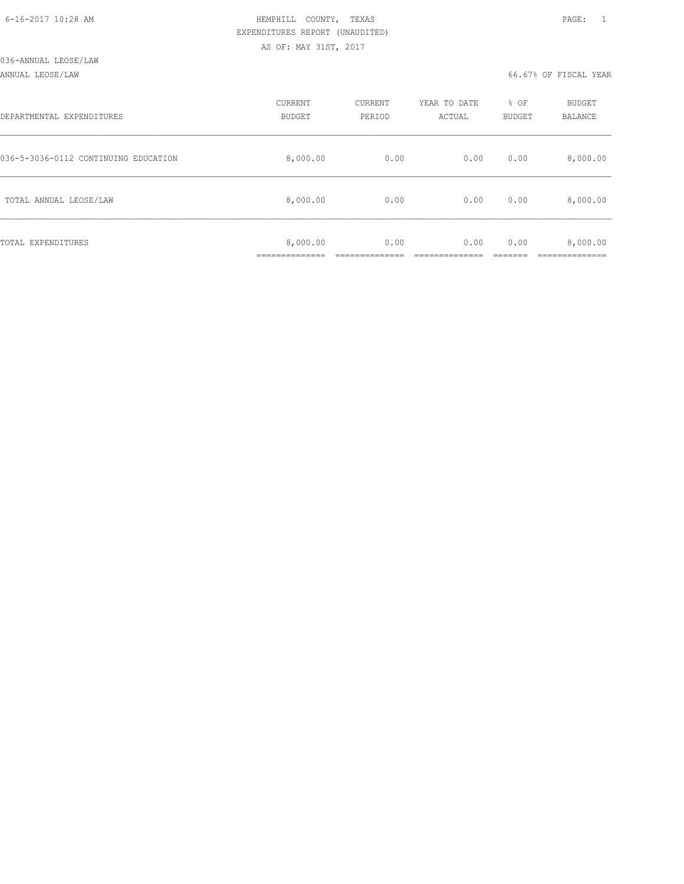### ANNUAL LEOSE/LAW 66.67% OF FISCAL YEAR

| DEPARTMENTAL EXPENDITURES            | CURRENT<br><b>BUDGET</b> | CURRENT<br>PERIOD | YEAR TO DATE<br>ACTUAL | % OF<br>BUDGET | BUDGET<br>BALANCE |
|--------------------------------------|--------------------------|-------------------|------------------------|----------------|-------------------|
| 036-5-3036-0112 CONTINUING EDUCATION | 8,000.00                 | 0.00              | 0.00                   | 0.00           | 8,000.00          |
| TOTAL ANNUAL LEOSE/LAW               | 8,000.00                 | 0.00              | 0.00                   | 0.00           | 8,000.00          |
| TOTAL EXPENDITURES                   | 8,000.00                 | 0.00              | 0.00                   | 0.00           | 8,000.00          |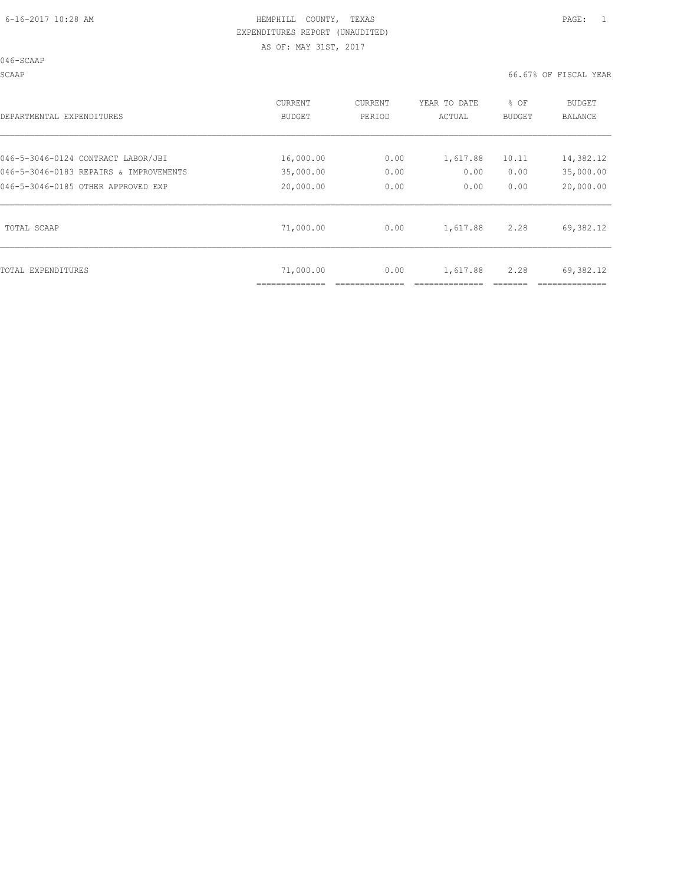046-SCAAP

SCAAP 66.67% OF FISCAL YEAR

| DEPARTMENTAL EXPENDITURES              | CURRENT       | CURRENT | YEAR TO DATE | % OF          | BUDGET    |
|----------------------------------------|---------------|---------|--------------|---------------|-----------|
|                                        | <b>BUDGET</b> | PERIOD  | ACTUAL       | <b>BUDGET</b> | BALANCE   |
| 046-5-3046-0124 CONTRACT LABOR/JBI     | 16,000.00     | 0.00    | 1,617.88     | 10.11         | 14,382.12 |
| 046-5-3046-0183 REPAIRS & IMPROVEMENTS | 35,000.00     | 0.00    | 0.00         | 0.00          | 35,000.00 |
| 046-5-3046-0185 OTHER APPROVED EXP     | 20,000.00     | 0.00    | 0.00         | 0.00          | 20,000.00 |
| TOTAL SCAAP                            | 71,000.00     | 0.00    | 1,617.88     | 2.28          | 69,382.12 |
| TOTAL EXPENDITURES                     | 71,000.00     | 0.00    | 1,617.88     | 2.28          | 69,382.12 |